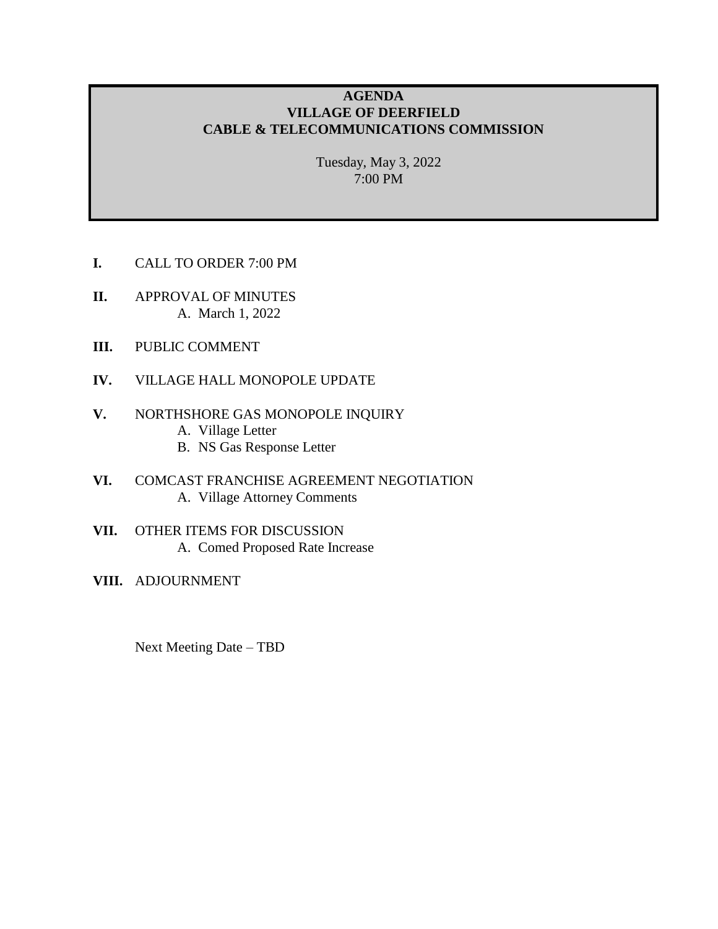# **AGENDA VILLAGE OF DEERFIELD CABLE & TELECOMMUNICATIONS COMMISSION**

Tuesday, May 3, 2022 7:00 PM

- **I.** CALL TO ORDER 7:00 PM
- **II.** APPROVAL OF MINUTES A. March 1, 2022
- **III.** PUBLIC COMMENT
- **IV.** VILLAGE HALL MONOPOLE UPDATE
- **V.** NORTHSHORE GAS MONOPOLE INQUIRY
	- A. Village Letter
	- B. NS Gas Response Letter
- **VI.** COMCAST FRANCHISE AGREEMENT NEGOTIATION A. Village Attorney Comments
- **VII.** OTHER ITEMS FOR DISCUSSION A. Comed Proposed Rate Increase
- **VIII.** ADJOURNMENT

Next Meeting Date – TBD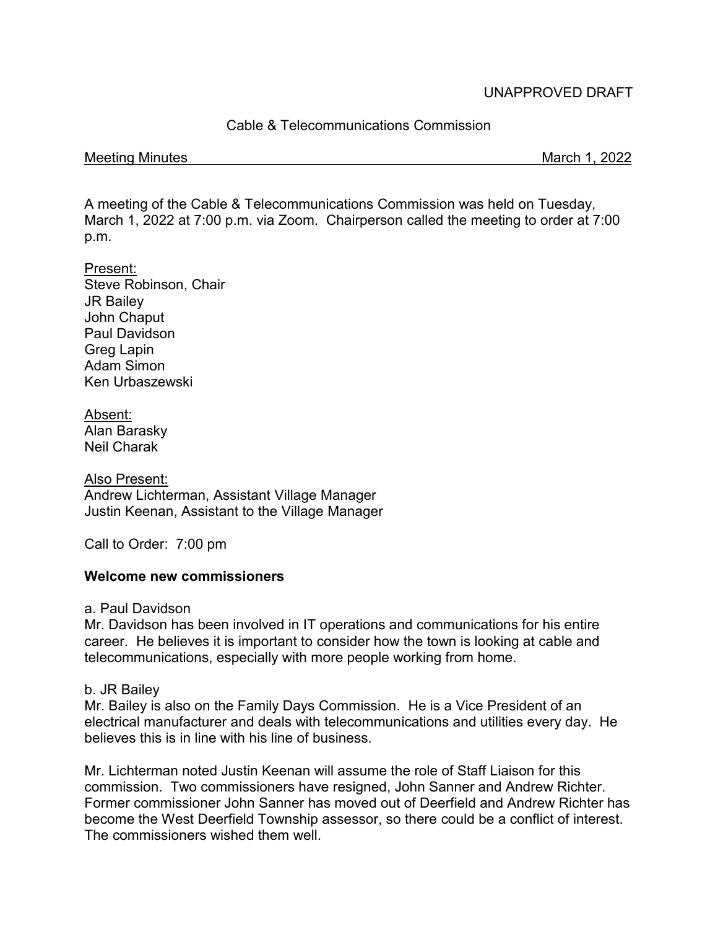# UNAPPROVED DRAFT

Cable & Telecommunications Commission

#### Meeting Minutes **March 1, 2022**

A meeting of the Cable & Telecommunications Commission was held on Tuesday, March 1, 2022 at 7:00 p.m. via Zoom. Chairperson called the meeting to order at 7:00 p.m.

#### Present:

Steve Robinson, Chair JR Bailey John Chaput Paul Davidson Greg Lapin Adam Simon Ken Urbaszewski

Absent: Alan Barasky Neil Charak

Also Present: Andrew Lichterman, Assistant Village Manager Justin Keenan, Assistant to the Village Manager

Call to Order: 7:00 pm

# **Welcome new commissioners**

a. Paul Davidson

Mr. Davidson has been involved in IT operations and communications for his entire career. He believes it is important to consider how the town is looking at cable and telecommunications, especially with more people working from home.

# b. JR Bailey

Mr. Bailey is also on the Family Days Commission. He is a Vice President of an electrical manufacturer and deals with telecommunications and utilities every day. He believes this is in line with his line of business.

Mr. Lichterman noted Justin Keenan will assume the role of Staff Liaison for this commission. Two commissioners have resigned, John Sanner and Andrew Richter. Former commissioner John Sanner has moved out of Deerfield and Andrew Richter has become the West Deerfield Township assessor, so there could be a conflict of interest. The commissioners wished them well.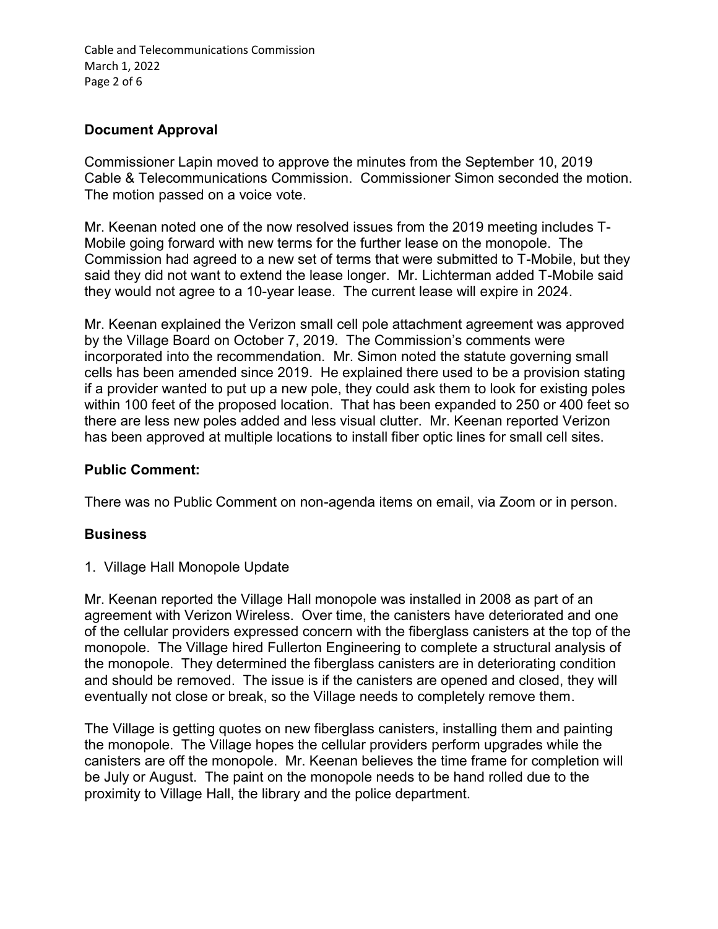Cable and Telecommunications Commission March 1, 2022 Page 2 of 6

# **Document Approval**

Commissioner Lapin moved to approve the minutes from the September 10, 2019 Cable & Telecommunications Commission. Commissioner Simon seconded the motion. The motion passed on a voice vote.

Mr. Keenan noted one of the now resolved issues from the 2019 meeting includes T-Mobile going forward with new terms for the further lease on the monopole. The Commission had agreed to a new set of terms that were submitted to T-Mobile, but they said they did not want to extend the lease longer. Mr. Lichterman added T-Mobile said they would not agree to a 10-year lease. The current lease will expire in 2024.

Mr. Keenan explained the Verizon small cell pole attachment agreement was approved by the Village Board on October 7, 2019. The Commission's comments were incorporated into the recommendation. Mr. Simon noted the statute governing small cells has been amended since 2019. He explained there used to be a provision stating if a provider wanted to put up a new pole, they could ask them to look for existing poles within 100 feet of the proposed location. That has been expanded to 250 or 400 feet so there are less new poles added and less visual clutter. Mr. Keenan reported Verizon has been approved at multiple locations to install fiber optic lines for small cell sites.

# **Public Comment:**

There was no Public Comment on non-agenda items on email, via Zoom or in person.

# **Business**

1. Village Hall Monopole Update

Mr. Keenan reported the Village Hall monopole was installed in 2008 as part of an agreement with Verizon Wireless. Over time, the canisters have deteriorated and one of the cellular providers expressed concern with the fiberglass canisters at the top of the monopole. The Village hired Fullerton Engineering to complete a structural analysis of the monopole. They determined the fiberglass canisters are in deteriorating condition and should be removed. The issue is if the canisters are opened and closed, they will eventually not close or break, so the Village needs to completely remove them.

The Village is getting quotes on new fiberglass canisters, installing them and painting the monopole. The Village hopes the cellular providers perform upgrades while the canisters are off the monopole. Mr. Keenan believes the time frame for completion will be July or August. The paint on the monopole needs to be hand rolled due to the proximity to Village Hall, the library and the police department.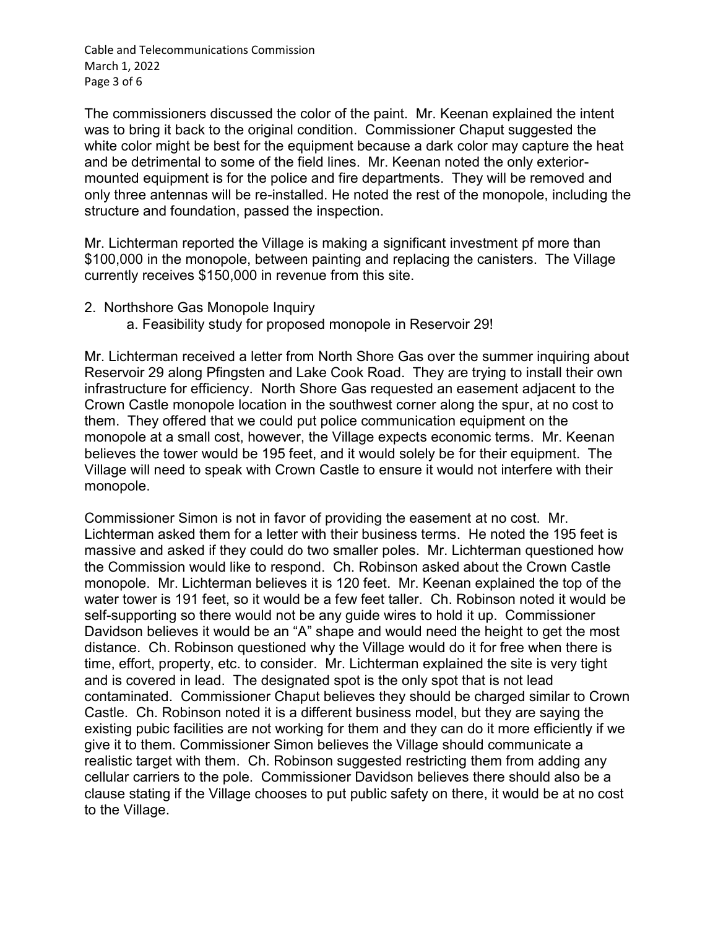Cable and Telecommunications Commission March 1, 2022 Page 3 of 6

The commissioners discussed the color of the paint. Mr. Keenan explained the intent was to bring it back to the original condition. Commissioner Chaput suggested the white color might be best for the equipment because a dark color may capture the heat and be detrimental to some of the field lines. Mr. Keenan noted the only exteriormounted equipment is for the police and fire departments. They will be removed and only three antennas will be re-installed. He noted the rest of the monopole, including the structure and foundation, passed the inspection.

Mr. Lichterman reported the Village is making a significant investment pf more than \$100,000 in the monopole, between painting and replacing the canisters. The Village currently receives \$150,000 in revenue from this site.

- 2. Northshore Gas Monopole Inquiry
	- a. Feasibility study for proposed monopole in Reservoir 29!

Mr. Lichterman received a letter from North Shore Gas over the summer inquiring about Reservoir 29 along Pfingsten and Lake Cook Road. They are trying to install their own infrastructure for efficiency. North Shore Gas requested an easement adjacent to the Crown Castle monopole location in the southwest corner along the spur, at no cost to them. They offered that we could put police communication equipment on the monopole at a small cost, however, the Village expects economic terms. Mr. Keenan believes the tower would be 195 feet, and it would solely be for their equipment. The Village will need to speak with Crown Castle to ensure it would not interfere with their monopole.

Commissioner Simon is not in favor of providing the easement at no cost. Mr. Lichterman asked them for a letter with their business terms. He noted the 195 feet is massive and asked if they could do two smaller poles. Mr. Lichterman questioned how the Commission would like to respond. Ch. Robinson asked about the Crown Castle monopole. Mr. Lichterman believes it is 120 feet. Mr. Keenan explained the top of the water tower is 191 feet, so it would be a few feet taller. Ch. Robinson noted it would be self-supporting so there would not be any guide wires to hold it up. Commissioner Davidson believes it would be an "A" shape and would need the height to get the most distance. Ch. Robinson questioned why the Village would do it for free when there is time, effort, property, etc. to consider. Mr. Lichterman explained the site is very tight and is covered in lead. The designated spot is the only spot that is not lead contaminated. Commissioner Chaput believes they should be charged similar to Crown Castle. Ch. Robinson noted it is a different business model, but they are saying the existing pubic facilities are not working for them and they can do it more efficiently if we give it to them. Commissioner Simon believes the Village should communicate a realistic target with them. Ch. Robinson suggested restricting them from adding any cellular carriers to the pole. Commissioner Davidson believes there should also be a clause stating if the Village chooses to put public safety on there, it would be at no cost to the Village.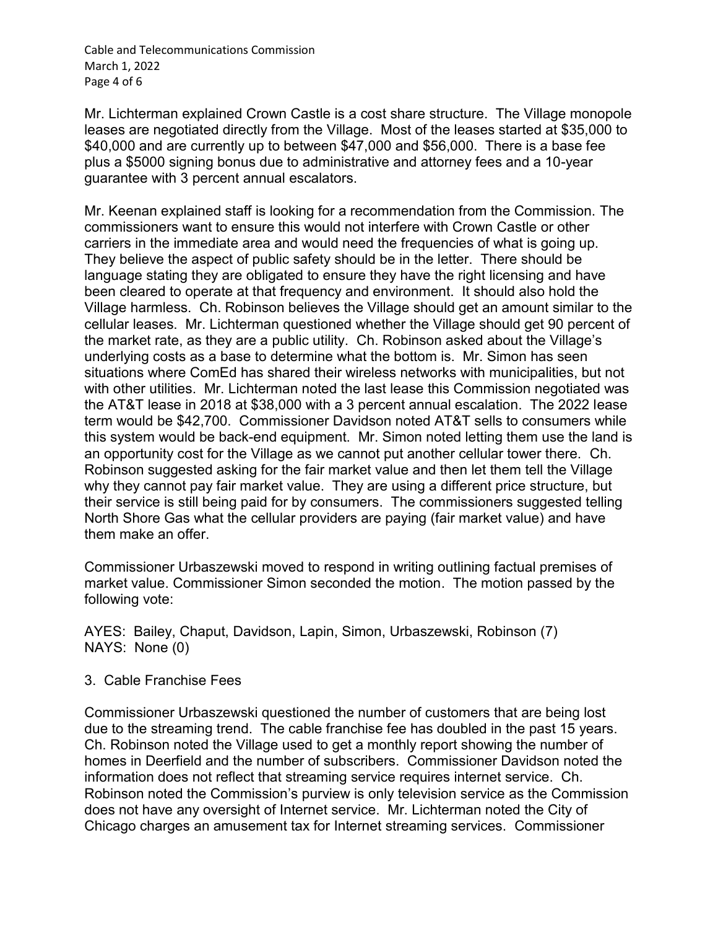Cable and Telecommunications Commission March 1, 2022 Page 4 of 6

Mr. Lichterman explained Crown Castle is a cost share structure. The Village monopole leases are negotiated directly from the Village. Most of the leases started at \$35,000 to \$40,000 and are currently up to between \$47,000 and \$56,000. There is a base fee plus a \$5000 signing bonus due to administrative and attorney fees and a 10-year guarantee with 3 percent annual escalators.

Mr. Keenan explained staff is looking for a recommendation from the Commission. The commissioners want to ensure this would not interfere with Crown Castle or other carriers in the immediate area and would need the frequencies of what is going up. They believe the aspect of public safety should be in the letter. There should be language stating they are obligated to ensure they have the right licensing and have been cleared to operate at that frequency and environment. It should also hold the Village harmless. Ch. Robinson believes the Village should get an amount similar to the cellular leases. Mr. Lichterman questioned whether the Village should get 90 percent of the market rate, as they are a public utility. Ch. Robinson asked about the Village's underlying costs as a base to determine what the bottom is. Mr. Simon has seen situations where ComEd has shared their wireless networks with municipalities, but not with other utilities. Mr. Lichterman noted the last lease this Commission negotiated was the AT&T lease in 2018 at \$38,000 with a 3 percent annual escalation. The 2022 lease term would be \$42,700. Commissioner Davidson noted AT&T sells to consumers while this system would be back-end equipment. Mr. Simon noted letting them use the land is an opportunity cost for the Village as we cannot put another cellular tower there. Ch. Robinson suggested asking for the fair market value and then let them tell the Village why they cannot pay fair market value. They are using a different price structure, but their service is still being paid for by consumers. The commissioners suggested telling North Shore Gas what the cellular providers are paying (fair market value) and have them make an offer.

Commissioner Urbaszewski moved to respond in writing outlining factual premises of market value. Commissioner Simon seconded the motion. The motion passed by the following vote:

AYES: Bailey, Chaput, Davidson, Lapin, Simon, Urbaszewski, Robinson (7) NAYS: None (0)

# 3. Cable Franchise Fees

Commissioner Urbaszewski questioned the number of customers that are being lost due to the streaming trend. The cable franchise fee has doubled in the past 15 years. Ch. Robinson noted the Village used to get a monthly report showing the number of homes in Deerfield and the number of subscribers. Commissioner Davidson noted the information does not reflect that streaming service requires internet service. Ch. Robinson noted the Commission's purview is only television service as the Commission does not have any oversight of Internet service. Mr. Lichterman noted the City of Chicago charges an amusement tax for Internet streaming services. Commissioner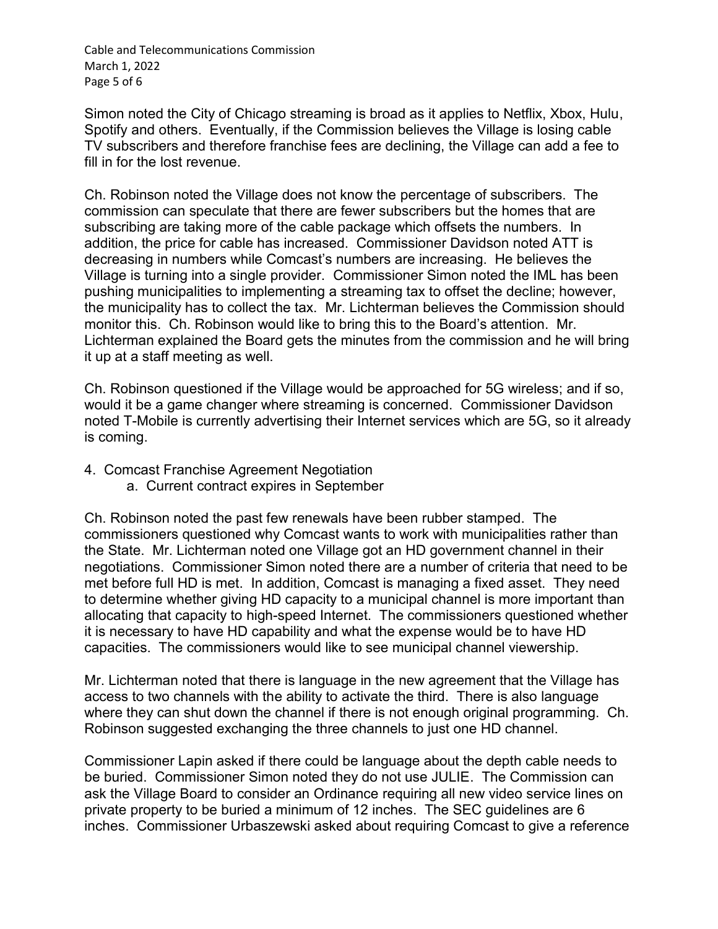Cable and Telecommunications Commission March 1, 2022 Page 5 of 6

Simon noted the City of Chicago streaming is broad as it applies to Netflix, Xbox, Hulu, Spotify and others. Eventually, if the Commission believes the Village is losing cable TV subscribers and therefore franchise fees are declining, the Village can add a fee to fill in for the lost revenue.

Ch. Robinson noted the Village does not know the percentage of subscribers. The commission can speculate that there are fewer subscribers but the homes that are subscribing are taking more of the cable package which offsets the numbers. In addition, the price for cable has increased. Commissioner Davidson noted ATT is decreasing in numbers while Comcast's numbers are increasing. He believes the Village is turning into a single provider. Commissioner Simon noted the IML has been pushing municipalities to implementing a streaming tax to offset the decline; however, the municipality has to collect the tax. Mr. Lichterman believes the Commission should monitor this. Ch. Robinson would like to bring this to the Board's attention. Mr. Lichterman explained the Board gets the minutes from the commission and he will bring it up at a staff meeting as well.

Ch. Robinson questioned if the Village would be approached for 5G wireless; and if so, would it be a game changer where streaming is concerned. Commissioner Davidson noted T-Mobile is currently advertising their Internet services which are 5G, so it already is coming.

- 4. Comcast Franchise Agreement Negotiation
	- a. Current contract expires in September

Ch. Robinson noted the past few renewals have been rubber stamped. The commissioners questioned why Comcast wants to work with municipalities rather than the State. Mr. Lichterman noted one Village got an HD government channel in their negotiations. Commissioner Simon noted there are a number of criteria that need to be met before full HD is met. In addition, Comcast is managing a fixed asset. They need to determine whether giving HD capacity to a municipal channel is more important than allocating that capacity to high-speed Internet. The commissioners questioned whether it is necessary to have HD capability and what the expense would be to have HD capacities. The commissioners would like to see municipal channel viewership.

Mr. Lichterman noted that there is language in the new agreement that the Village has access to two channels with the ability to activate the third. There is also language where they can shut down the channel if there is not enough original programming. Ch. Robinson suggested exchanging the three channels to just one HD channel.

Commissioner Lapin asked if there could be language about the depth cable needs to be buried. Commissioner Simon noted they do not use JULIE. The Commission can ask the Village Board to consider an Ordinance requiring all new video service lines on private property to be buried a minimum of 12 inches. The SEC guidelines are 6 inches. Commissioner Urbaszewski asked about requiring Comcast to give a reference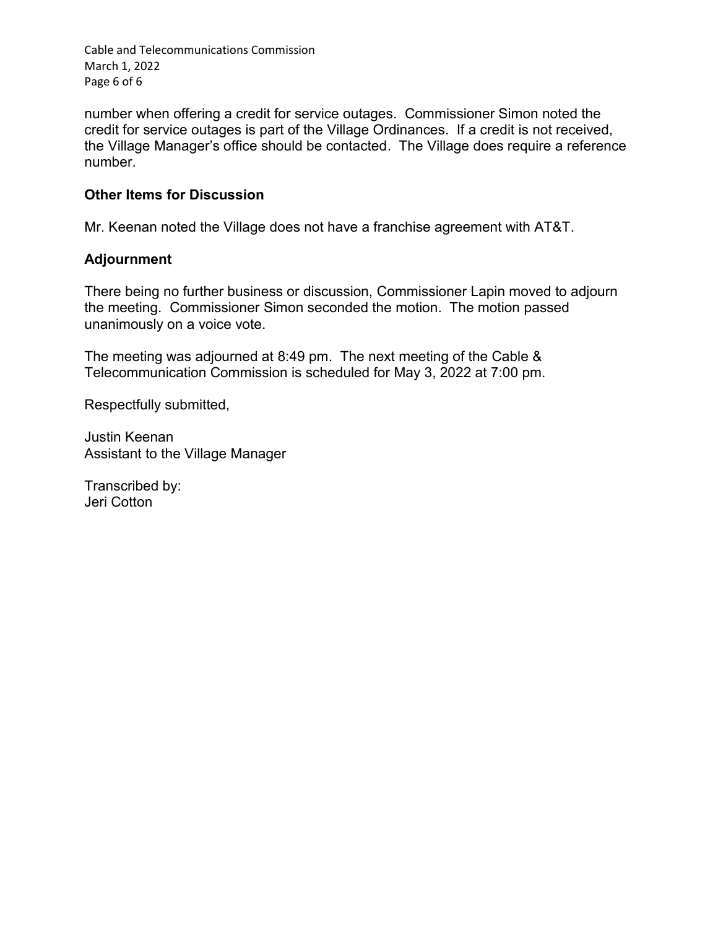Cable and Telecommunications Commission March 1, 2022 Page 6 of 6

number when offering a credit for service outages. Commissioner Simon noted the credit for service outages is part of the Village Ordinances. If a credit is not received, the Village Manager's office should be contacted. The Village does require a reference number.

### **Other Items for Discussion**

Mr. Keenan noted the Village does not have a franchise agreement with AT&T.

#### **Adjournment**

There being no further business or discussion, Commissioner Lapin moved to adjourn the meeting. Commissioner Simon seconded the motion. The motion passed unanimously on a voice vote.

The meeting was adjourned at 8:49 pm. The next meeting of the Cable & Telecommunication Commission is scheduled for May 3, 2022 at 7:00 pm.

Respectfully submitted,

Justin Keenan Assistant to the Village Manager

Transcribed by: Jeri Cotton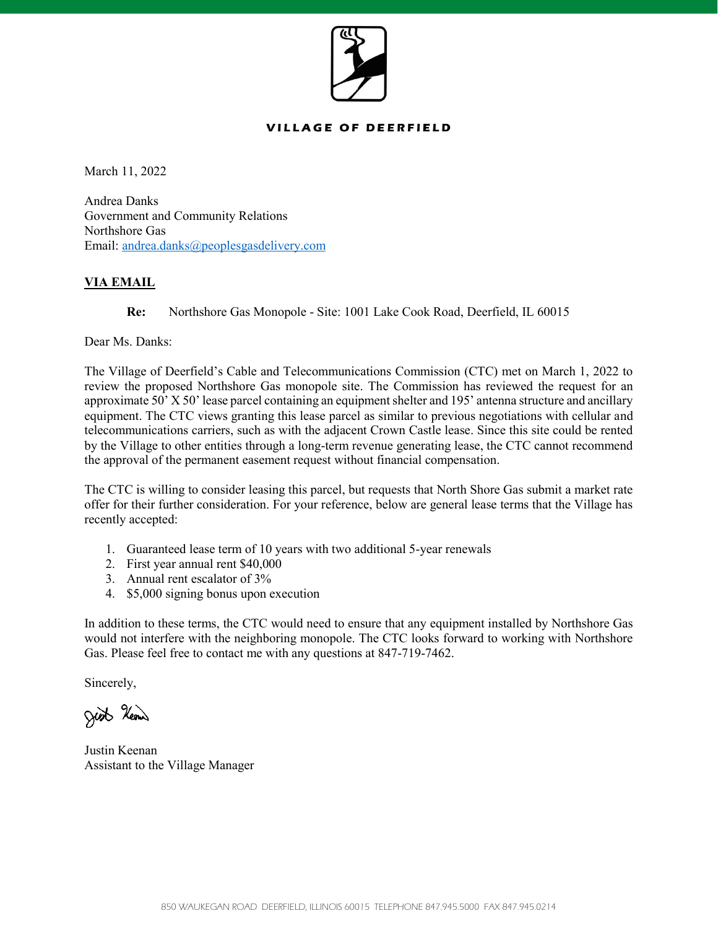

#### **VILLAGE OF DEERFIELD**

March 11, 2022

Andrea Danks Government and Community Relations Northshore Gas Email: [andrea.danks@peoplesgasdelivery.com](mailto:andrea.danks@peoplesgasdelivery.com)

#### **VIA EMAIL**

**Re:** Northshore Gas Monopole - Site: 1001 Lake Cook Road, Deerfield, IL 60015

Dear Ms. Danks:

The Village of Deerfield's Cable and Telecommunications Commission (CTC) met on March 1, 2022 to review the proposed Northshore Gas monopole site. The Commission has reviewed the request for an approximate 50' X 50' lease parcel containing an equipment shelter and 195' antenna structure and ancillary equipment. The CTC views granting this lease parcel as similar to previous negotiations with cellular and telecommunications carriers, such as with the adjacent Crown Castle lease. Since this site could be rented by the Village to other entities through a long-term revenue generating lease, the CTC cannot recommend the approval of the permanent easement request without financial compensation.

The CTC is willing to consider leasing this parcel, but requests that North Shore Gas submit a market rate offer for their further consideration. For your reference, below are general lease terms that the Village has recently accepted:

- 1. Guaranteed lease term of 10 years with two additional 5-year renewals
- 2. First year annual rent \$40,000
- 3. Annual rent escalator of 3%
- 4. \$5,000 signing bonus upon execution

In addition to these terms, the CTC would need to ensure that any equipment installed by Northshore Gas would not interfere with the neighboring monopole. The CTC looks forward to working with Northshore Gas. Please feel free to contact me with any questions at 847-719-7462.

Sincerely,

Just Heave

Justin Keenan Assistant to the Village Manager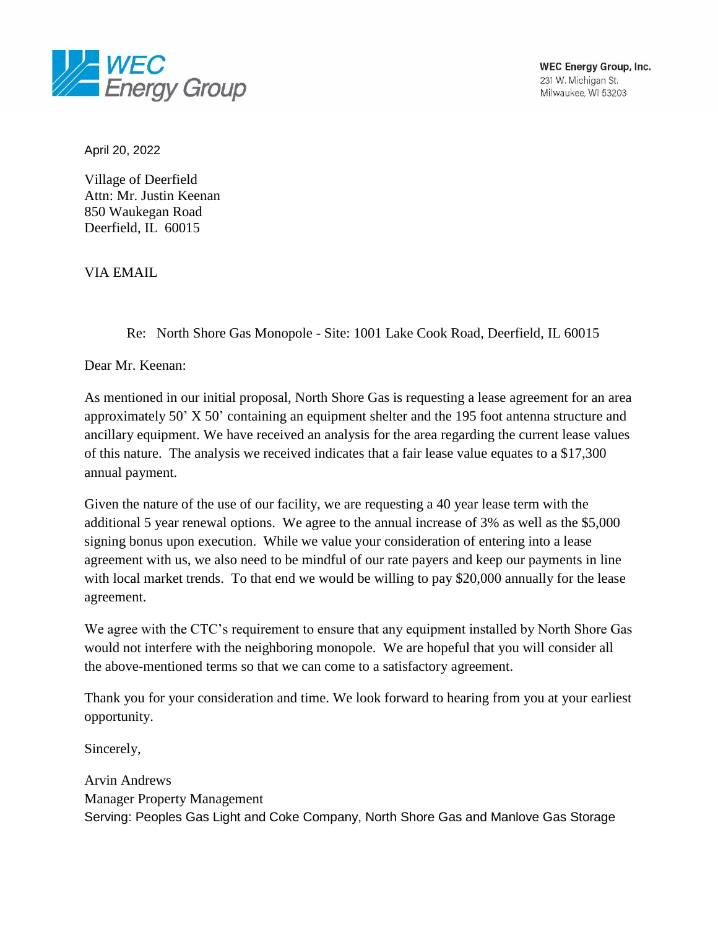

April 20, 2022

Village of Deerfield Attn: Mr. Justin Keenan 850 Waukegan Road Deerfield, IL 60015

VIA EMAIL

Re: North Shore Gas Monopole - Site: 1001 Lake Cook Road, Deerfield, IL 60015

Dear Mr. Keenan:

As mentioned in our initial proposal, North Shore Gas is requesting a lease agreement for an area approximately 50' X 50' containing an equipment shelter and the 195 foot antenna structure and ancillary equipment. We have received an analysis for the area regarding the current lease values of this nature. The analysis we received indicates that a fair lease value equates to a \$17,300 annual payment.

Given the nature of the use of our facility, we are requesting a 40 year lease term with the additional 5 year renewal options. We agree to the annual increase of 3% as well as the \$5,000 signing bonus upon execution. While we value your consideration of entering into a lease agreement with us, we also need to be mindful of our rate payers and keep our payments in line with local market trends. To that end we would be willing to pay \$20,000 annually for the lease agreement.

We agree with the CTC's requirement to ensure that any equipment installed by North Shore Gas would not interfere with the neighboring monopole. We are hopeful that you will consider all the above-mentioned terms so that we can come to a satisfactory agreement.

Thank you for your consideration and time. We look forward to hearing from you at your earliest opportunity.

Sincerely,

Arvin Andrews Manager Property Management Serving: Peoples Gas Light and Coke Company, North Shore Gas and Manlove Gas Storage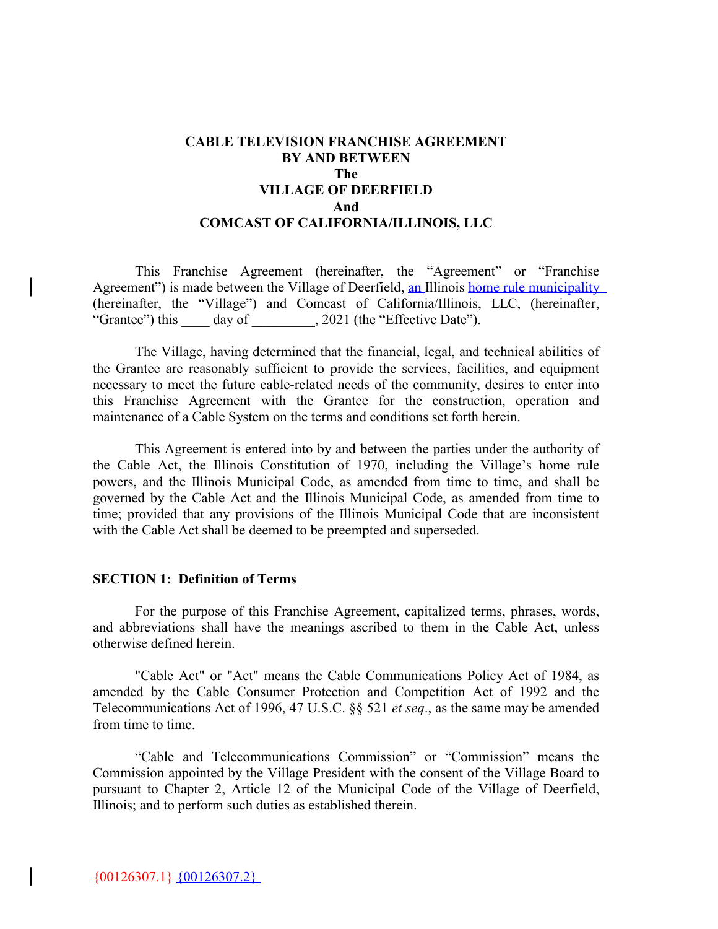#### **CABLE TELEVISION FRANCHISE AGREEMENT BY AND BETWEEN The VILLAGE OF DEERFIELD And COMCAST OF CALIFORNIA/ILLINOIS, LLC**

This Franchise Agreement (hereinafter, the "Agreement" or "Franchise Agreement") is made between the Village of Deerfield, an Illinois home rule municipality (hereinafter, the "Village") and Comcast of California/Illinois, LLC, (hereinafter, "Grantee") this day of  $\qquad$ , 2021 (the "Effective Date").

The Village, having determined that the financial, legal, and technical abilities of the Grantee are reasonably sufficient to provide the services, facilities, and equipment necessary to meet the future cable-related needs of the community, desires to enter into this Franchise Agreement with the Grantee for the construction, operation and maintenance of a Cable System on the terms and conditions set forth herein.

This Agreement is entered into by and between the parties under the authority of the Cable Act, the Illinois Constitution of 1970, including the Village's home rule powers, and the Illinois Municipal Code, as amended from time to time, and shall be governed by the Cable Act and the Illinois Municipal Code, as amended from time to time; provided that any provisions of the Illinois Municipal Code that are inconsistent with the Cable Act shall be deemed to be preempted and superseded.

#### **SECTION 1: Definition of Terms**

For the purpose of this Franchise Agreement, capitalized terms, phrases, words, and abbreviations shall have the meanings ascribed to them in the Cable Act, unless otherwise defined herein.

"Cable Act" or "Act" means the Cable Communications Policy Act of 1984, as amended by the Cable Consumer Protection and Competition Act of 1992 and the Telecommunications Act of 1996, 47 U.S.C. §§ 521 *et seq*., as the same may be amended from time to time.

"Cable and Telecommunications Commission" or "Commission" means the Commission appointed by the Village President with the consent of the Village Board to pursuant to Chapter 2, Article 12 of the Municipal Code of the Village of Deerfield, Illinois; and to perform such duties as established therein.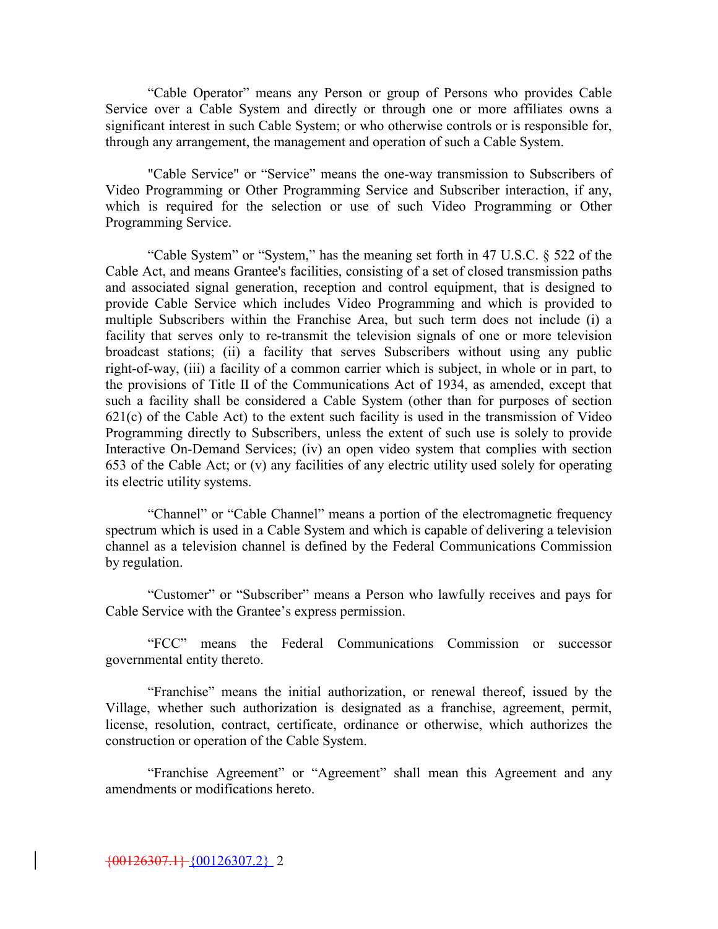"Cable Operator" means any Person or group of Persons who provides Cable Service over a Cable System and directly or through one or more affiliates owns a significant interest in such Cable System; or who otherwise controls or is responsible for, through any arrangement, the management and operation of such a Cable System.

"Cable Service" or "Service" means the one-way transmission to Subscribers of Video Programming or Other Programming Service and Subscriber interaction, if any, which is required for the selection or use of such Video Programming or Other Programming Service.

"Cable System" or "System," has the meaning set forth in 47 U.S.C. § 522 of the Cable Act, and means Grantee's facilities, consisting of a set of closed transmission paths and associated signal generation, reception and control equipment, that is designed to provide Cable Service which includes Video Programming and which is provided to multiple Subscribers within the Franchise Area, but such term does not include (i) a facility that serves only to re-transmit the television signals of one or more television broadcast stations; (ii) a facility that serves Subscribers without using any public right-of-way, (iii) a facility of a common carrier which is subject, in whole or in part, to the provisions of Title II of the Communications Act of 1934, as amended, except that such a facility shall be considered a Cable System (other than for purposes of section  $621(c)$  of the Cable Act) to the extent such facility is used in the transmission of Video Programming directly to Subscribers, unless the extent of such use is solely to provide Interactive On-Demand Services; (iv) an open video system that complies with section 653 of the Cable Act; or (v) any facilities of any electric utility used solely for operating its electric utility systems.

"Channel" or "Cable Channel" means a portion of the electromagnetic frequency spectrum which is used in a Cable System and which is capable of delivering a television channel as a television channel is defined by the Federal Communications Commission by regulation.

"Customer" or "Subscriber" means a Person who lawfully receives and pays for Cable Service with the Grantee's express permission.

"FCC" means the Federal Communications Commission or successor governmental entity thereto.

"Franchise" means the initial authorization, or renewal thereof, issued by the Village, whether such authorization is designated as a franchise, agreement, permit, license, resolution, contract, certificate, ordinance or otherwise, which authorizes the construction or operation of the Cable System.

"Franchise Agreement" or "Agreement" shall mean this Agreement and any amendments or modifications hereto.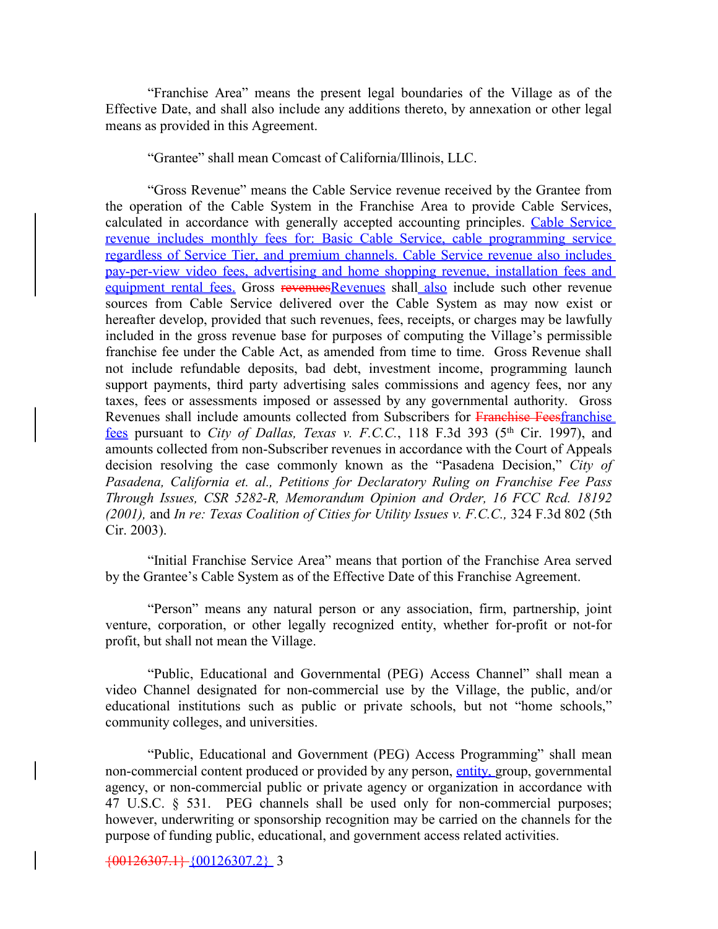"Franchise Area" means the present legal boundaries of the Village as of the Effective Date, and shall also include any additions thereto, by annexation or other legal means as provided in this Agreement.

"Grantee" shall mean Comcast of California/Illinois, LLC.

"Gross Revenue" means the Cable Service revenue received by the Grantee from the operation of the Cable System in the Franchise Area to provide Cable Services, calculated in accordance with generally accepted accounting principles. Cable Service revenue includes monthly fees for: Basic Cable Service, cable programming service regardless of Service Tier, and premium channels. Cable Service revenue also includes pay-per-view video fees, advertising and home shopping revenue, installation fees and equipment rental fees. Gross revenuesRevenues shall also include such other revenue sources from Cable Service delivered over the Cable System as may now exist or hereafter develop, provided that such revenues, fees, receipts, or charges may be lawfully included in the gross revenue base for purposes of computing the Village's permissible franchise fee under the Cable Act, as amended from time to time. Gross Revenue shall not include refundable deposits, bad debt, investment income, programming launch support payments, third party advertising sales commissions and agency fees, nor any taxes, fees or assessments imposed or assessed by any governmental authority. Gross Revenues shall include amounts collected from Subscribers for Franchise Feesfranchise fees pursuant to *City of Dallas, Texas v. F.C.C.*, 118 F.3d 393 (5<sup>th</sup> Cir. 1997), and amounts collected from non-Subscriber revenues in accordance with the Court of Appeals decision resolving the case commonly known as the "Pasadena Decision," *City of Pasadena, California et. al., Petitions for Declaratory Ruling on Franchise Fee Pass Through Issues, CSR 5282-R, Memorandum Opinion and Order, 16 FCC Rcd. 18192 (2001),* and *In re: Texas Coalition of Cities for Utility Issues v. F.C.C.,* 324 F.3d 802 (5th Cir. 2003).

"Initial Franchise Service Area" means that portion of the Franchise Area served by the Grantee's Cable System as of the Effective Date of this Franchise Agreement.

"Person" means any natural person or any association, firm, partnership, joint venture, corporation, or other legally recognized entity, whether for-profit or not-for profit, but shall not mean the Village.

"Public, Educational and Governmental (PEG) Access Channel" shall mean a video Channel designated for non-commercial use by the Village, the public, and/or educational institutions such as public or private schools, but not "home schools," community colleges, and universities.

"Public, Educational and Government (PEG) Access Programming" shall mean non-commercial content produced or provided by any person, entity, group, governmental agency, or non-commercial public or private agency or organization in accordance with 47 U.S.C. § 531. PEG channels shall be used only for non-commercial purposes; however, underwriting or sponsorship recognition may be carried on the channels for the purpose of funding public, educational, and government access related activities.

{00126307.1} {00126307.2} 3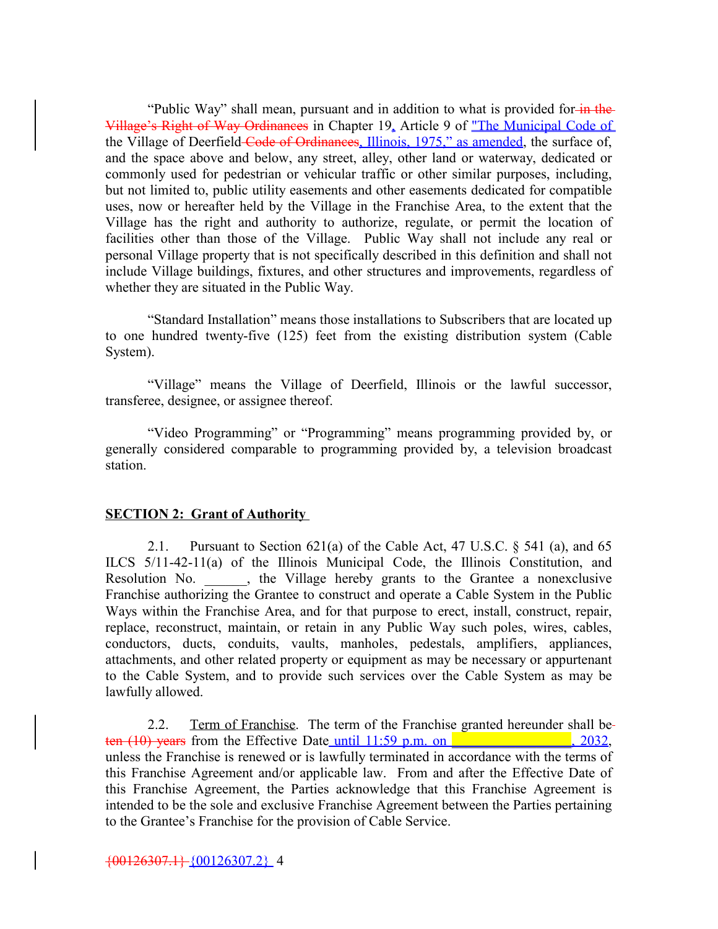"Public Way" shall mean, pursuant and in addition to what is provided for in the Village's Right of Way Ordinances in Chapter 19, Article 9 of "The Municipal Code of the Village of Deerfield-Code of Ordinances, Illinois, 1975," as amended, the surface of, and the space above and below, any street, alley, other land or waterway, dedicated or commonly used for pedestrian or vehicular traffic or other similar purposes, including, but not limited to, public utility easements and other easements dedicated for compatible uses, now or hereafter held by the Village in the Franchise Area, to the extent that the Village has the right and authority to authorize, regulate, or permit the location of facilities other than those of the Village. Public Way shall not include any real or personal Village property that is not specifically described in this definition and shall not include Village buildings, fixtures, and other structures and improvements, regardless of whether they are situated in the Public Way.

"Standard Installation" means those installations to Subscribers that are located up to one hundred twenty-five (125) feet from the existing distribution system (Cable System).

"Village" means the Village of Deerfield, Illinois or the lawful successor, transferee, designee, or assignee thereof.

"Video Programming" or "Programming" means programming provided by, or generally considered comparable to programming provided by, a television broadcast station.

#### **SECTION 2: Grant of Authority**

2.1. Pursuant to Section  $621(a)$  of the Cable Act, 47 U.S.C. § 541 (a), and 65 ILCS 5/11-42-11(a) of the Illinois Municipal Code, the Illinois Constitution, and Resolution No. \_\_\_\_\_\_, the Village hereby grants to the Grantee a nonexclusive Franchise authorizing the Grantee to construct and operate a Cable System in the Public Ways within the Franchise Area, and for that purpose to erect, install, construct, repair, replace, reconstruct, maintain, or retain in any Public Way such poles, wires, cables, conductors, ducts, conduits, vaults, manholes, pedestals, amplifiers, appliances, attachments, and other related property or equipment as may be necessary or appurtenant to the Cable System, and to provide such services over the Cable System as may be lawfully allowed.

2.2. Term of Franchise. The term of the Franchise granted hereunder shall beten  $(10)$  years from the Effective Date until  $11:59$  p.m. on  $\blacksquare$ unless the Franchise is renewed or is lawfully terminated in accordance with the terms of this Franchise Agreement and/or applicable law. From and after the Effective Date of this Franchise Agreement, the Parties acknowledge that this Franchise Agreement is intended to be the sole and exclusive Franchise Agreement between the Parties pertaining to the Grantee's Franchise for the provision of Cable Service.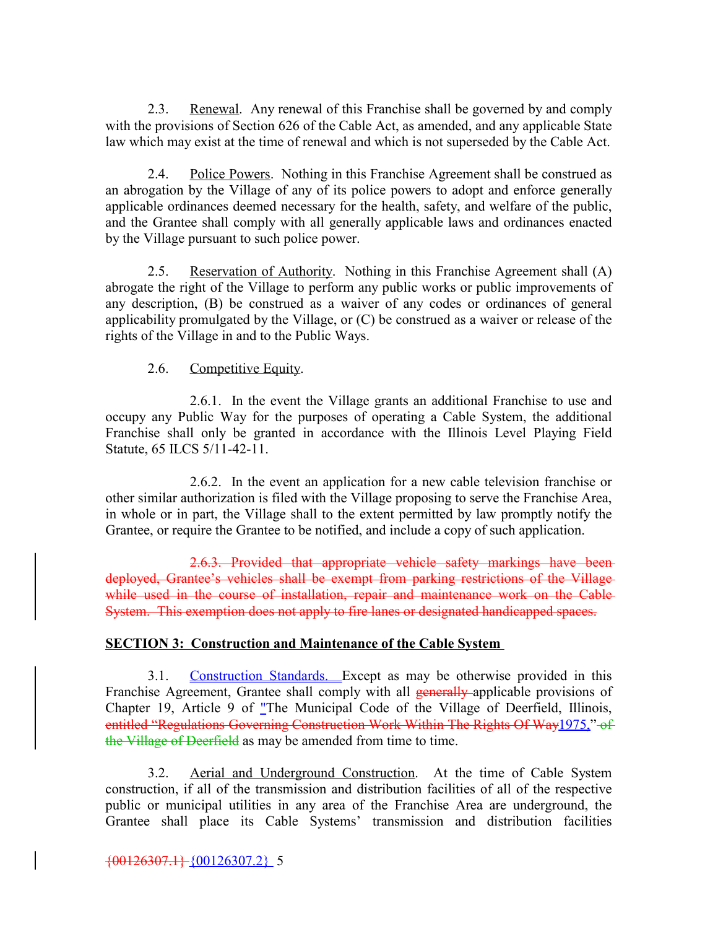2.3. Renewal. Any renewal of this Franchise shall be governed by and comply with the provisions of Section 626 of the Cable Act, as amended, and any applicable State law which may exist at the time of renewal and which is not superseded by the Cable Act.

2.4. Police Powers. Nothing in this Franchise Agreement shall be construed as an abrogation by the Village of any of its police powers to adopt and enforce generally applicable ordinances deemed necessary for the health, safety, and welfare of the public, and the Grantee shall comply with all generally applicable laws and ordinances enacted by the Village pursuant to such police power.

2.5. Reservation of Authority. Nothing in this Franchise Agreement shall (A) abrogate the right of the Village to perform any public works or public improvements of any description, (B) be construed as a waiver of any codes or ordinances of general applicability promulgated by the Village, or (C) be construed as a waiver or release of the rights of the Village in and to the Public Ways.

#### 2.6. Competitive Equity.

2.6.1. In the event the Village grants an additional Franchise to use and occupy any Public Way for the purposes of operating a Cable System, the additional Franchise shall only be granted in accordance with the Illinois Level Playing Field Statute, 65 ILCS 5/11-42-11.

2.6.2. In the event an application for a new cable television franchise or other similar authorization is filed with the Village proposing to serve the Franchise Area, in whole or in part, the Village shall to the extent permitted by law promptly notify the Grantee, or require the Grantee to be notified, and include a copy of such application.

2.6.3. Provided that appropriate vehicle safety markings have been deployed, Grantee's vehicles shall be exempt from parking restrictions of the Village while used in the course of installation, repair and maintenance work on the Cable System. This exemption does not apply to fire lanes or designated handicapped spaces.

#### **SECTION 3: Construction and Maintenance of the Cable System**

3.1. Construction Standards. Except as may be otherwise provided in this Franchise Agreement, Grantee shall comply with all **generally** applicable provisions of Chapter 19, Article 9 of "The Municipal Code of the Village of Deerfield, Illinois, entitled "Regulations Governing Construction Work Within The Rights Of Way1975," of the Village of Deerfield as may be amended from time to time.

3.2. Aerial and Underground Construction. At the time of Cable System construction, if all of the transmission and distribution facilities of all of the respective public or municipal utilities in any area of the Franchise Area are underground, the Grantee shall place its Cable Systems' transmission and distribution facilities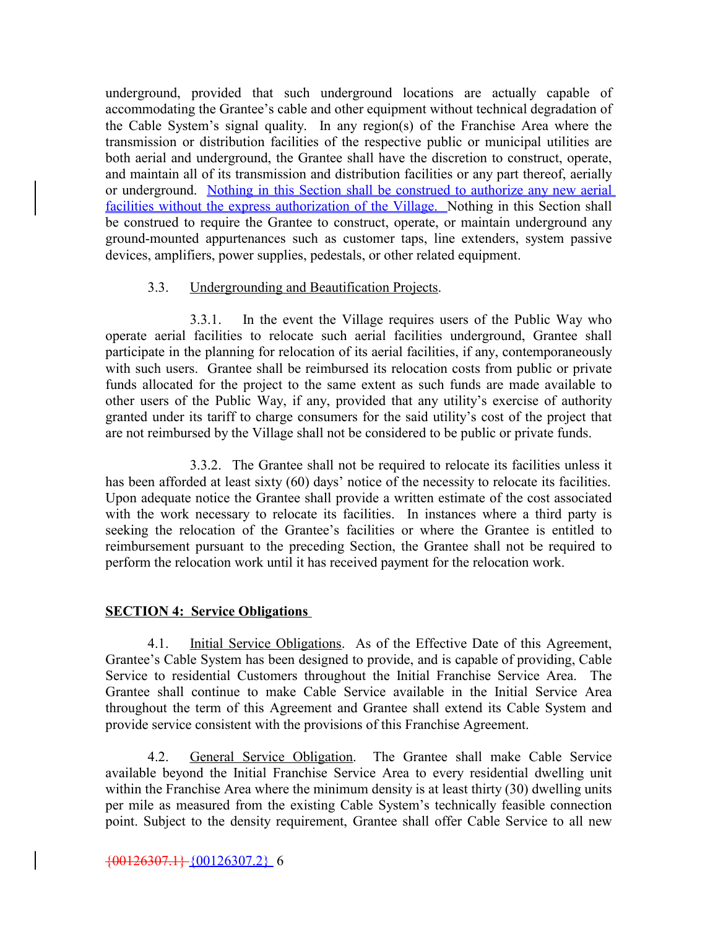underground, provided that such underground locations are actually capable of accommodating the Grantee's cable and other equipment without technical degradation of the Cable System's signal quality. In any region(s) of the Franchise Area where the transmission or distribution facilities of the respective public or municipal utilities are both aerial and underground, the Grantee shall have the discretion to construct, operate, and maintain all of its transmission and distribution facilities or any part thereof, aerially or underground. Nothing in this Section shall be construed to authorize any new aerial facilities without the express authorization of the Village. Nothing in this Section shall be construed to require the Grantee to construct, operate, or maintain underground any ground-mounted appurtenances such as customer taps, line extenders, system passive devices, amplifiers, power supplies, pedestals, or other related equipment.

#### 3.3. Undergrounding and Beautification Projects.

3.3.1. In the event the Village requires users of the Public Way who operate aerial facilities to relocate such aerial facilities underground, Grantee shall participate in the planning for relocation of its aerial facilities, if any, contemporaneously with such users. Grantee shall be reimbursed its relocation costs from public or private funds allocated for the project to the same extent as such funds are made available to other users of the Public Way, if any, provided that any utility's exercise of authority granted under its tariff to charge consumers for the said utility's cost of the project that are not reimbursed by the Village shall not be considered to be public or private funds.

3.3.2. The Grantee shall not be required to relocate its facilities unless it has been afforded at least sixty (60) days' notice of the necessity to relocate its facilities. Upon adequate notice the Grantee shall provide a written estimate of the cost associated with the work necessary to relocate its facilities. In instances where a third party is seeking the relocation of the Grantee's facilities or where the Grantee is entitled to reimbursement pursuant to the preceding Section, the Grantee shall not be required to perform the relocation work until it has received payment for the relocation work.

#### **SECTION 4: Service Obligations**

4.1. Initial Service Obligations. As of the Effective Date of this Agreement, Grantee's Cable System has been designed to provide, and is capable of providing, Cable Service to residential Customers throughout the Initial Franchise Service Area. The Grantee shall continue to make Cable Service available in the Initial Service Area throughout the term of this Agreement and Grantee shall extend its Cable System and provide service consistent with the provisions of this Franchise Agreement.

4.2. General Service Obligation. The Grantee shall make Cable Service available beyond the Initial Franchise Service Area to every residential dwelling unit within the Franchise Area where the minimum density is at least thirty (30) dwelling units per mile as measured from the existing Cable System's technically feasible connection point. Subject to the density requirement, Grantee shall offer Cable Service to all new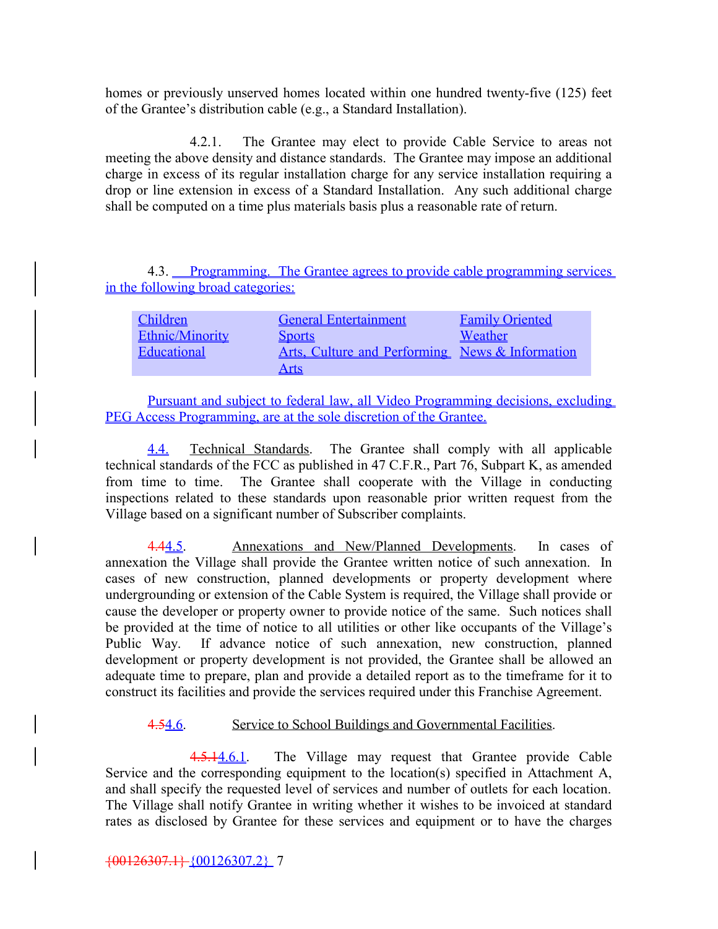homes or previously unserved homes located within one hundred twenty-five (125) feet of the Grantee's distribution cable (e.g., a Standard Installation).

4.2.1. The Grantee may elect to provide Cable Service to areas not meeting the above density and distance standards. The Grantee may impose an additional charge in excess of its regular installation charge for any service installation requiring a drop or line extension in excess of a Standard Installation. Any such additional charge shall be computed on a time plus materials basis plus a reasonable rate of return.

4.3. Programming. The Grantee agrees to provide cable programming services in the following broad categories:

| Children        | <b>General Entertainment</b>                    | <b>Family Oriented</b> |
|-----------------|-------------------------------------------------|------------------------|
| Ethnic/Minority | <b>Sports</b>                                   | Weather                |
| Educational     | Arts, Culture and Performing News & Information |                        |
|                 | <u>Arts</u>                                     |                        |

Pursuant and subject to federal law, all Video Programming decisions, excluding PEG Access Programming, are at the sole discretion of the Grantee.

4.4. Technical Standards. The Grantee shall comply with all applicable technical standards of the FCC as published in 47 C.F.R., Part 76, Subpart K, as amended from time to time. The Grantee shall cooperate with the Village in conducting inspections related to these standards upon reasonable prior written request from the Village based on a significant number of Subscriber complaints.

4.44.5. Annexations and New/Planned Developments. In cases of annexation the Village shall provide the Grantee written notice of such annexation. In cases of new construction, planned developments or property development where undergrounding or extension of the Cable System is required, the Village shall provide or cause the developer or property owner to provide notice of the same. Such notices shall be provided at the time of notice to all utilities or other like occupants of the Village's Public Way. If advance notice of such annexation, new construction, planned development or property development is not provided, the Grantee shall be allowed an adequate time to prepare, plan and provide a detailed report as to the timeframe for it to construct its facilities and provide the services required under this Franchise Agreement.

#### 4.54.6. Service to School Buildings and Governmental Facilities.

4.5.14.6.1. The Village may request that Grantee provide Cable Service and the corresponding equipment to the location(s) specified in Attachment A, and shall specify the requested level of services and number of outlets for each location. The Village shall notify Grantee in writing whether it wishes to be invoiced at standard rates as disclosed by Grantee for these services and equipment or to have the charges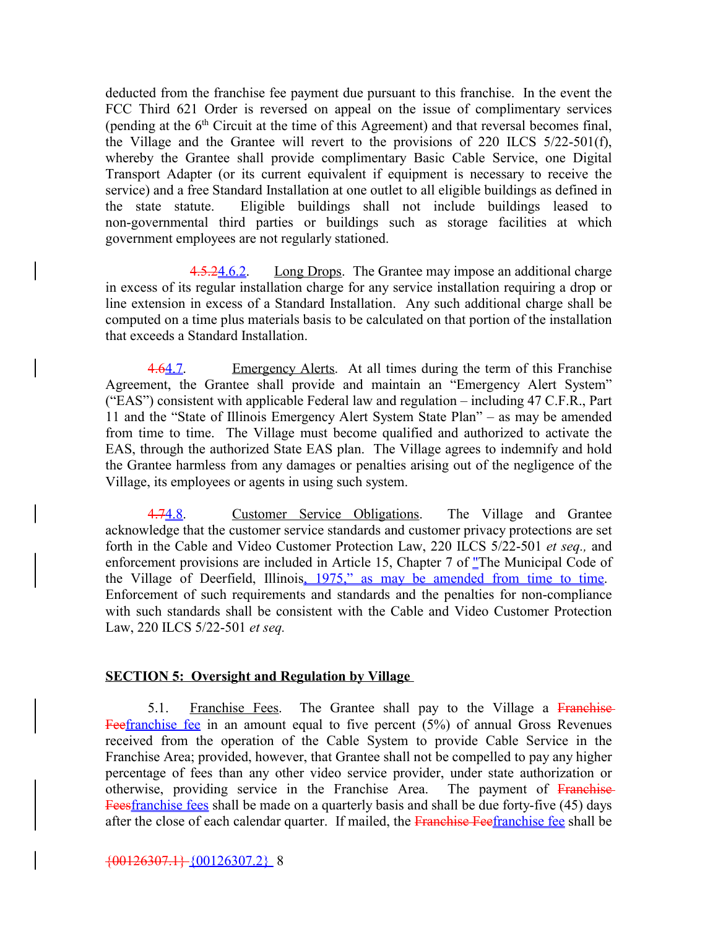deducted from the franchise fee payment due pursuant to this franchise. In the event the FCC Third 621 Order is reversed on appeal on the issue of complimentary services (pending at the  $6<sup>th</sup>$  Circuit at the time of this Agreement) and that reversal becomes final, the Village and the Grantee will revert to the provisions of 220 ILCS 5/22-501(f), whereby the Grantee shall provide complimentary Basic Cable Service, one Digital Transport Adapter (or its current equivalent if equipment is necessary to receive the service) and a free Standard Installation at one outlet to all eligible buildings as defined in the state statute. Eligible buildings shall not include buildings leased to non-governmental third parties or buildings such as storage facilities at which government employees are not regularly stationed.

4.5.24.6.2. Long Drops. The Grantee may impose an additional charge in excess of its regular installation charge for any service installation requiring a drop or line extension in excess of a Standard Installation. Any such additional charge shall be computed on a time plus materials basis to be calculated on that portion of the installation that exceeds a Standard Installation.

4.64.7. Emergency Alerts. At all times during the term of this Franchise Agreement, the Grantee shall provide and maintain an "Emergency Alert System" ("EAS") consistent with applicable Federal law and regulation – including 47 C.F.R., Part 11 and the "State of Illinois Emergency Alert System State Plan" – as may be amended from time to time. The Village must become qualified and authorized to activate the EAS, through the authorized State EAS plan. The Village agrees to indemnify and hold the Grantee harmless from any damages or penalties arising out of the negligence of the Village, its employees or agents in using such system.

4.74.8. Customer Service Obligations. The Village and Grantee acknowledge that the customer service standards and customer privacy protections are set forth in the Cable and Video Customer Protection Law, 220 ILCS 5/22-501 *et seq.,* and enforcement provisions are included in Article 15, Chapter 7 of "The Municipal Code of the Village of Deerfield, Illinois, 1975," as may be amended from time to time. Enforcement of such requirements and standards and the penalties for non-compliance with such standards shall be consistent with the Cable and Video Customer Protection Law, 220 ILCS 5/22-501 *et seq.*

#### **SECTION 5: Oversight and Regulation by Village**

5.1. Franchise Fees. The Grantee shall pay to the Village a Franchise Feefranchise fee in an amount equal to five percent  $(5%)$  of annual Gross Revenues received from the operation of the Cable System to provide Cable Service in the Franchise Area; provided, however, that Grantee shall not be compelled to pay any higher percentage of fees than any other video service provider, under state authorization or otherwise, providing service in the Franchise Area. The payment of Franchise Feesfranchise fees shall be made on a quarterly basis and shall be due forty-five (45) days after the close of each calendar quarter. If mailed, the Franchise Feefranchise fee shall be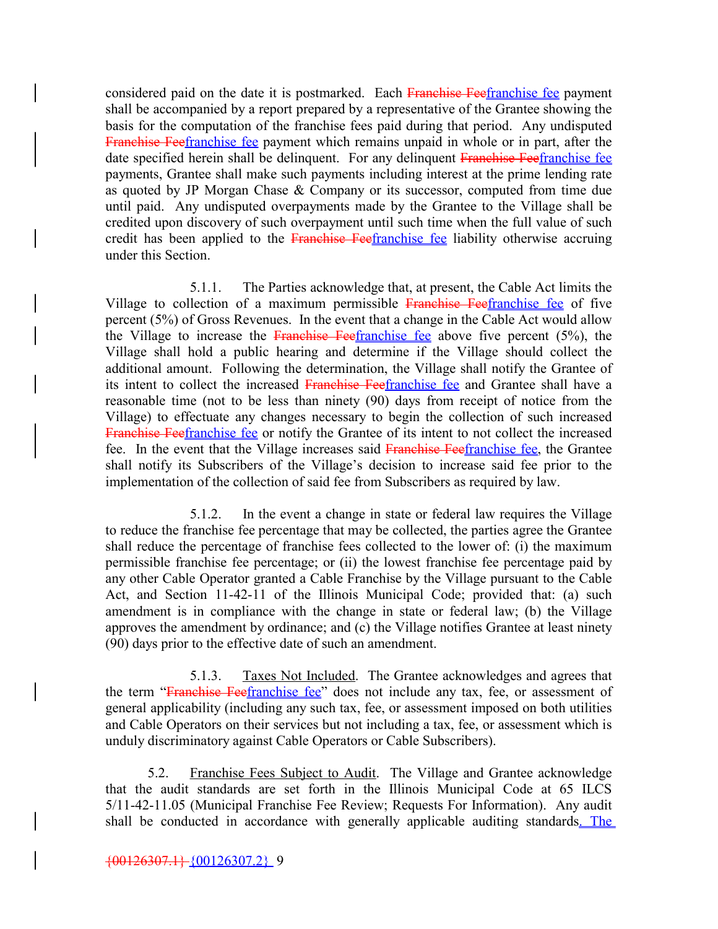considered paid on the date it is postmarked. Each Franchise Feefranchise fee payment shall be accompanied by a report prepared by a representative of the Grantee showing the basis for the computation of the franchise fees paid during that period. Any undisputed Franchise Feefranchise fee payment which remains unpaid in whole or in part, after the date specified herein shall be delinquent. For any delinquent Franchise Feefranchise fee payments, Grantee shall make such payments including interest at the prime lending rate as quoted by JP Morgan Chase & Company or its successor, computed from time due until paid. Any undisputed overpayments made by the Grantee to the Village shall be credited upon discovery of such overpayment until such time when the full value of such credit has been applied to the Franchise Feefranchise fee liability otherwise accruing under this Section.

5.1.1. The Parties acknowledge that, at present, the Cable Act limits the Village to collection of a maximum permissible Franchise Feefranchise fee of five percent (5%) of Gross Revenues. In the event that a change in the Cable Act would allow the Village to increase the Franchise Feefranchise fee above five percent  $(5\%)$ , the Village shall hold a public hearing and determine if the Village should collect the additional amount. Following the determination, the Village shall notify the Grantee of its intent to collect the increased Franchise Feefranchise fee and Grantee shall have a reasonable time (not to be less than ninety (90) days from receipt of notice from the Village) to effectuate any changes necessary to begin the collection of such increased Franchise Feefranchise fee or notify the Grantee of its intent to not collect the increased fee. In the event that the Village increases said Franchise Feefranchise fee, the Grantee shall notify its Subscribers of the Village's decision to increase said fee prior to the implementation of the collection of said fee from Subscribers as required by law.

5.1.2. In the event a change in state or federal law requires the Village to reduce the franchise fee percentage that may be collected, the parties agree the Grantee shall reduce the percentage of franchise fees collected to the lower of: (i) the maximum permissible franchise fee percentage; or (ii) the lowest franchise fee percentage paid by any other Cable Operator granted a Cable Franchise by the Village pursuant to the Cable Act, and Section 11-42-11 of the Illinois Municipal Code; provided that: (a) such amendment is in compliance with the change in state or federal law; (b) the Village approves the amendment by ordinance; and (c) the Village notifies Grantee at least ninety (90) days prior to the effective date of such an amendment.

5.1.3. Taxes Not Included. The Grantee acknowledges and agrees that the term "Franchise Feefranchise fee" does not include any tax, fee, or assessment of general applicability (including any such tax, fee, or assessment imposed on both utilities and Cable Operators on their services but not including a tax, fee, or assessment which is unduly discriminatory against Cable Operators or Cable Subscribers).

5.2. Franchise Fees Subject to Audit. The Village and Grantee acknowledge that the audit standards are set forth in the Illinois Municipal Code at 65 ILCS 5/11-42-11.05 (Municipal Franchise Fee Review; Requests For Information). Any audit shall be conducted in accordance with generally applicable auditing standards. The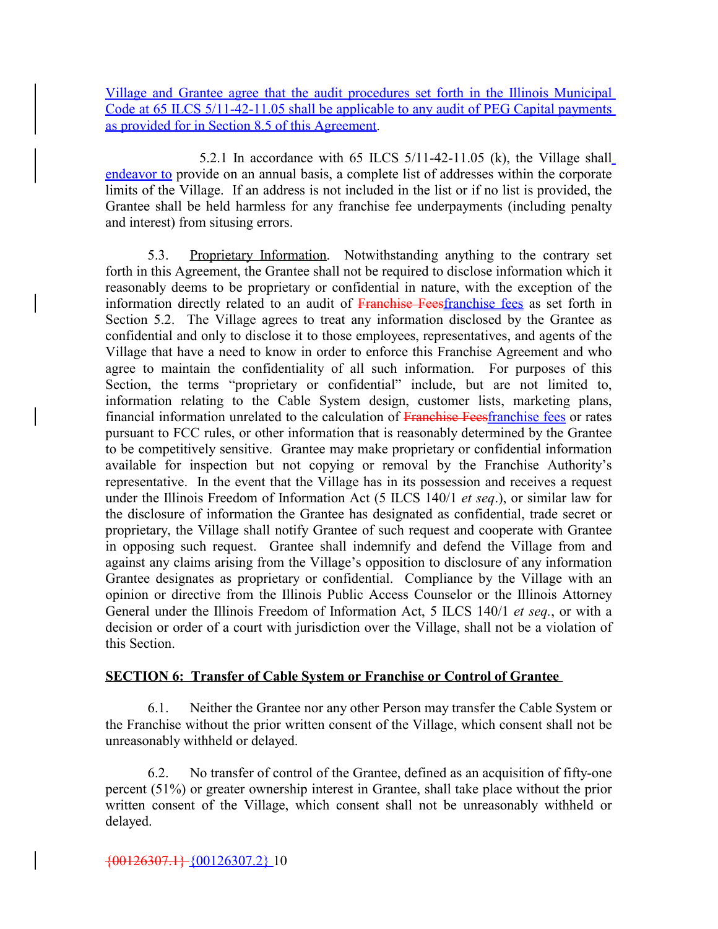Village and Grantee agree that the audit procedures set forth in the Illinois Municipal Code at 65 ILCS 5/11-42-11.05 shall be applicable to any audit of PEG Capital payments as provided for in Section 8.5 of this Agreement.

 5.2.1 In accordance with 65 ILCS 5/11-42-11.05 (k), the Village shall endeavor to provide on an annual basis, a complete list of addresses within the corporate limits of the Village. If an address is not included in the list or if no list is provided, the Grantee shall be held harmless for any franchise fee underpayments (including penalty and interest) from situsing errors.

5.3. Proprietary Information. Notwithstanding anything to the contrary set forth in this Agreement, the Grantee shall not be required to disclose information which it reasonably deems to be proprietary or confidential in nature, with the exception of the information directly related to an audit of Franchise Feesfranchise fees as set forth in Section 5.2. The Village agrees to treat any information disclosed by the Grantee as confidential and only to disclose it to those employees, representatives, and agents of the Village that have a need to know in order to enforce this Franchise Agreement and who agree to maintain the confidentiality of all such information. For purposes of this Section, the terms "proprietary or confidential" include, but are not limited to, information relating to the Cable System design, customer lists, marketing plans, financial information unrelated to the calculation of Franchise Feesfranchise fees or rates pursuant to FCC rules, or other information that is reasonably determined by the Grantee to be competitively sensitive. Grantee may make proprietary or confidential information available for inspection but not copying or removal by the Franchise Authority's representative. In the event that the Village has in its possession and receives a request under the Illinois Freedom of Information Act (5 ILCS 140/1 *et seq*.), or similar law for the disclosure of information the Grantee has designated as confidential, trade secret or proprietary, the Village shall notify Grantee of such request and cooperate with Grantee in opposing such request. Grantee shall indemnify and defend the Village from and against any claims arising from the Village's opposition to disclosure of any information Grantee designates as proprietary or confidential. Compliance by the Village with an opinion or directive from the Illinois Public Access Counselor or the Illinois Attorney General under the Illinois Freedom of Information Act, 5 ILCS 140/1 *et seq.*, or with a decision or order of a court with jurisdiction over the Village, shall not be a violation of this Section.

#### **SECTION 6: Transfer of Cable System or Franchise or Control of Grantee**

6.1. Neither the Grantee nor any other Person may transfer the Cable System or the Franchise without the prior written consent of the Village, which consent shall not be unreasonably withheld or delayed.

6.2. No transfer of control of the Grantee, defined as an acquisition of fifty-one percent (51%) or greater ownership interest in Grantee, shall take place without the prior written consent of the Village, which consent shall not be unreasonably withheld or delayed.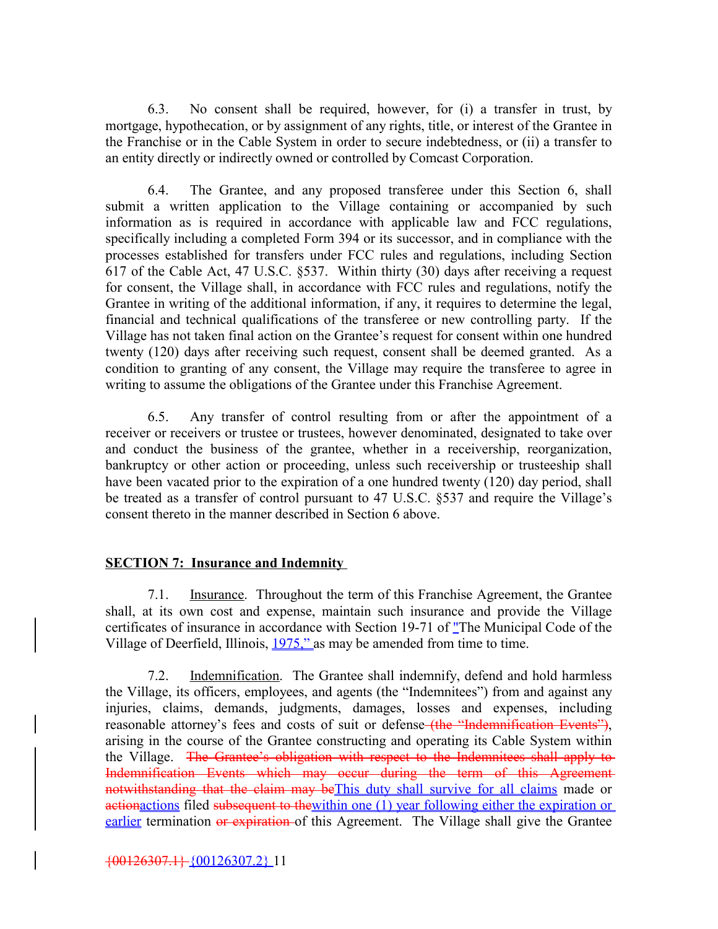6.3. No consent shall be required, however, for (i) a transfer in trust, by mortgage, hypothecation, or by assignment of any rights, title, or interest of the Grantee in the Franchise or in the Cable System in order to secure indebtedness, or (ii) a transfer to an entity directly or indirectly owned or controlled by Comcast Corporation.

6.4. The Grantee, and any proposed transferee under this Section 6, shall submit a written application to the Village containing or accompanied by such information as is required in accordance with applicable law and FCC regulations, specifically including a completed Form 394 or its successor, and in compliance with the processes established for transfers under FCC rules and regulations, including Section 617 of the Cable Act, 47 U.S.C. §537. Within thirty (30) days after receiving a request for consent, the Village shall, in accordance with FCC rules and regulations, notify the Grantee in writing of the additional information, if any, it requires to determine the legal, financial and technical qualifications of the transferee or new controlling party. If the Village has not taken final action on the Grantee's request for consent within one hundred twenty (120) days after receiving such request, consent shall be deemed granted. As a condition to granting of any consent, the Village may require the transferee to agree in writing to assume the obligations of the Grantee under this Franchise Agreement.

6.5. Any transfer of control resulting from or after the appointment of a receiver or receivers or trustee or trustees, however denominated, designated to take over and conduct the business of the grantee, whether in a receivership, reorganization, bankruptcy or other action or proceeding, unless such receivership or trusteeship shall have been vacated prior to the expiration of a one hundred twenty (120) day period, shall be treated as a transfer of control pursuant to 47 U.S.C. §537 and require the Village's consent thereto in the manner described in Section 6 above.

#### **SECTION 7: Insurance and Indemnity**

7.1. Insurance. Throughout the term of this Franchise Agreement, the Grantee shall, at its own cost and expense, maintain such insurance and provide the Village certificates of insurance in accordance with Section 19-71 of "The Municipal Code of the Village of Deerfield, Illinois,  $1975$ ," as may be amended from time to time.

7.2. Indemnification. The Grantee shall indemnify, defend and hold harmless the Village, its officers, employees, and agents (the "Indemnitees") from and against any injuries, claims, demands, judgments, damages, losses and expenses, including reasonable attorney's fees and costs of suit or defense–the "Indemnification Events"), arising in the course of the Grantee constructing and operating its Cable System within the Village. The Grantee's obligation with respect to the Indemnitees shall apply to Indemnification Events which may occur during the term of this Agreement notwithstanding that the claim may beThis duty shall survive for all claims made or actionactions filed subsequent to the within one (1) year following either the expiration or earlier termination or expiration of this Agreement. The Village shall give the Grantee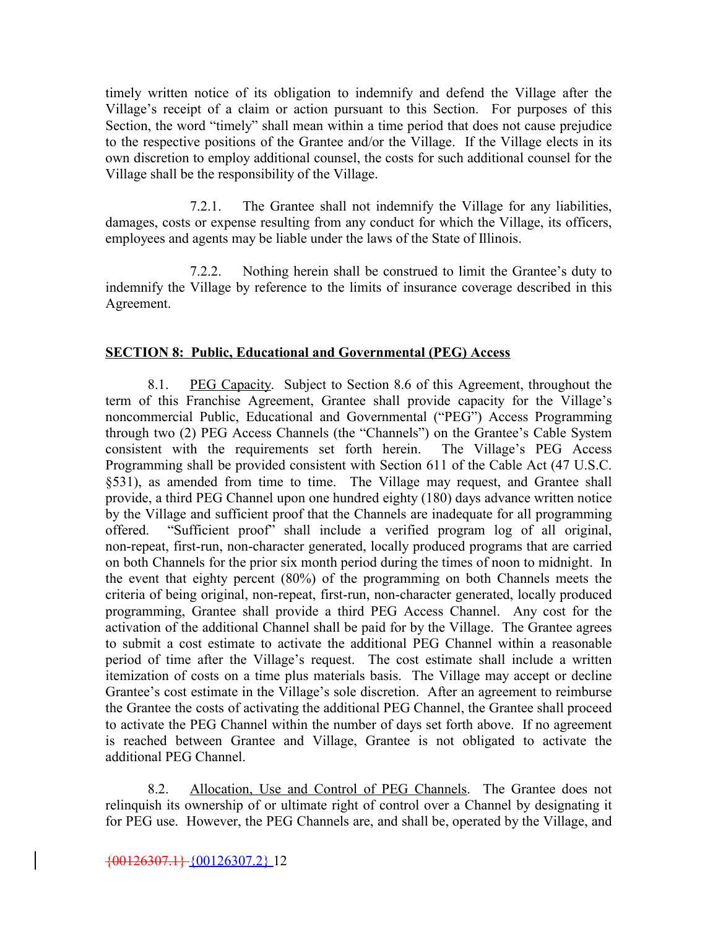timely written notice of its obligation to indemnify and defend the Village after the Village's receipt of a claim or action pursuant to this Section. For purposes of this Section, the word "timely" shall mean within a time period that does not cause prejudice to the respective positions of the Grantee and/or the Village. If the Village elects in its own discretion to employ additional counsel, the costs for such additional counsel for the Village shall be the responsibility of the Village.

7.2.1. The Grantee shall not indemnify the Village for any liabilities, damages, costs or expense resulting from any conduct for which the Village, its officers, employees and agents may be liable under the laws of the State of Illinois.

7.2.2. Nothing herein shall be construed to limit the Grantee's duty to indemnify the Village by reference to the limits of insurance coverage described in this Agreement.

#### **SECTION 8: Public, Educational and Governmental (PEG) Access**

8.1. PEG Capacity. Subject to Section 8.6 of this Agreement, throughout the term of this Franchise Agreement, Grantee shall provide capacity for the Village's noncommercial Public, Educational and Governmental ("PEG") Access Programming through two (2) PEG Access Channels (the "Channels") on the Grantee's Cable System consistent with the requirements set forth herein. The Village's PEG Access Programming shall be provided consistent with Section 611 of the Cable Act (47 U.S.C. §531), as amended from time to time. The Village may request, and Grantee shall provide, a third PEG Channel upon one hundred eighty (180) days advance written notice by the Village and sufficient proof that the Channels are inadequate for all programming offered. "Sufficient proof" shall include a verified program log of all original, non-repeat, first-run, non-character generated, locally produced programs that are carried on both Channels for the prior six month period during the times of noon to midnight. In the event that eighty percent (80%) of the programming on both Channels meets the criteria of being original, non-repeat, first-run, non-character generated, locally produced programming, Grantee shall provide a third PEG Access Channel. Any cost for the activation of the additional Channel shall be paid for by the Village. The Grantee agrees to submit a cost estimate to activate the additional PEG Channel within a reasonable period of time after the Village's request. The cost estimate shall include a written itemization of costs on a time plus materials basis. The Village may accept or decline Grantee's cost estimate in the Village's sole discretion. After an agreement to reimburse the Grantee the costs of activating the additional PEG Channel, the Grantee shall proceed to activate the PEG Channel within the number of days set forth above. If no agreement is reached between Grantee and Village, Grantee is not obligated to activate the additional PEG Channel.

8.2. Allocation, Use and Control of PEG Channels. The Grantee does not relinquish its ownership of or ultimate right of control over a Channel by designating it for PEG use. However, the PEG Channels are, and shall be, operated by the Village, and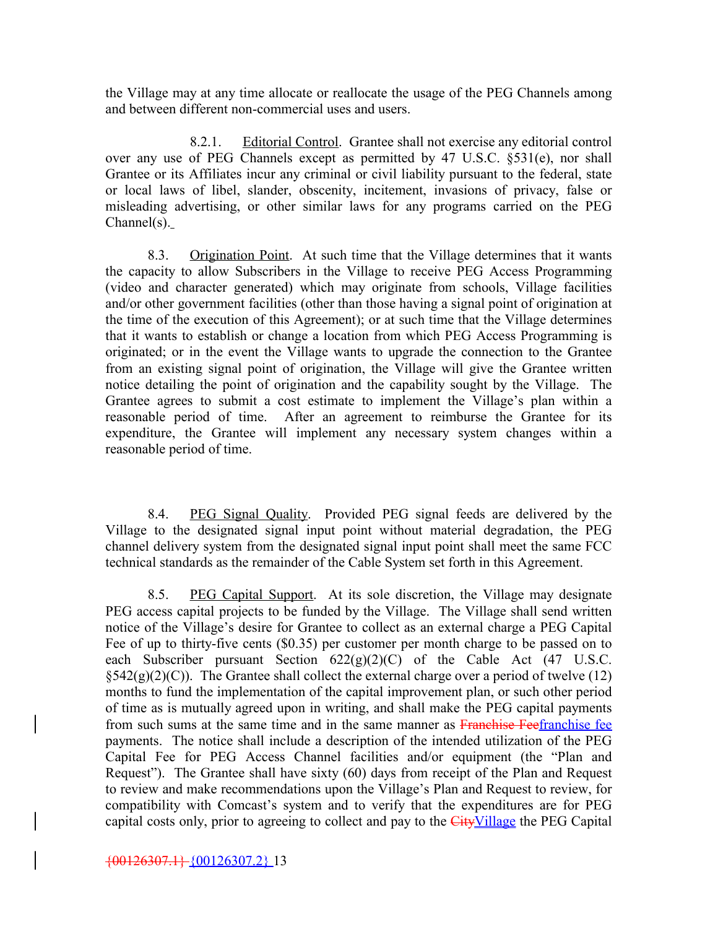the Village may at any time allocate or reallocate the usage of the PEG Channels among and between different non-commercial uses and users.

8.2.1. Editorial Control. Grantee shall not exercise any editorial control over any use of PEG Channels except as permitted by 47 U.S.C. §531(e), nor shall Grantee or its Affiliates incur any criminal or civil liability pursuant to the federal, state or local laws of libel, slander, obscenity, incitement, invasions of privacy, false or misleading advertising, or other similar laws for any programs carried on the PEG Channel(s).

8.3. Origination Point. At such time that the Village determines that it wants the capacity to allow Subscribers in the Village to receive PEG Access Programming (video and character generated) which may originate from schools, Village facilities and/or other government facilities (other than those having a signal point of origination at the time of the execution of this Agreement); or at such time that the Village determines that it wants to establish or change a location from which PEG Access Programming is originated; or in the event the Village wants to upgrade the connection to the Grantee from an existing signal point of origination, the Village will give the Grantee written notice detailing the point of origination and the capability sought by the Village. The Grantee agrees to submit a cost estimate to implement the Village's plan within a reasonable period of time. After an agreement to reimburse the Grantee for its expenditure, the Grantee will implement any necessary system changes within a reasonable period of time.

8.4. PEG Signal Quality. Provided PEG signal feeds are delivered by the Village to the designated signal input point without material degradation, the PEG channel delivery system from the designated signal input point shall meet the same FCC technical standards as the remainder of the Cable System set forth in this Agreement.

8.5. PEG Capital Support. At its sole discretion, the Village may designate PEG access capital projects to be funded by the Village. The Village shall send written notice of the Village's desire for Grantee to collect as an external charge a PEG Capital Fee of up to thirty-five cents (\$0.35) per customer per month charge to be passed on to each Subscriber pursuant Section  $622(g)(2)(C)$  of the Cable Act (47 U.S.C.  $\S$ 542(g)(2)(C)). The Grantee shall collect the external charge over a period of twelve (12) months to fund the implementation of the capital improvement plan, or such other period of time as is mutually agreed upon in writing, and shall make the PEG capital payments from such sums at the same time and in the same manner as Franchise Feefranchise fee payments. The notice shall include a description of the intended utilization of the PEG Capital Fee for PEG Access Channel facilities and/or equipment (the "Plan and Request"). The Grantee shall have sixty (60) days from receipt of the Plan and Request to review and make recommendations upon the Village's Plan and Request to review, for compatibility with Comcast's system and to verify that the expenditures are for PEG capital costs only, prior to agreeing to collect and pay to the CityVillage the PEG Capital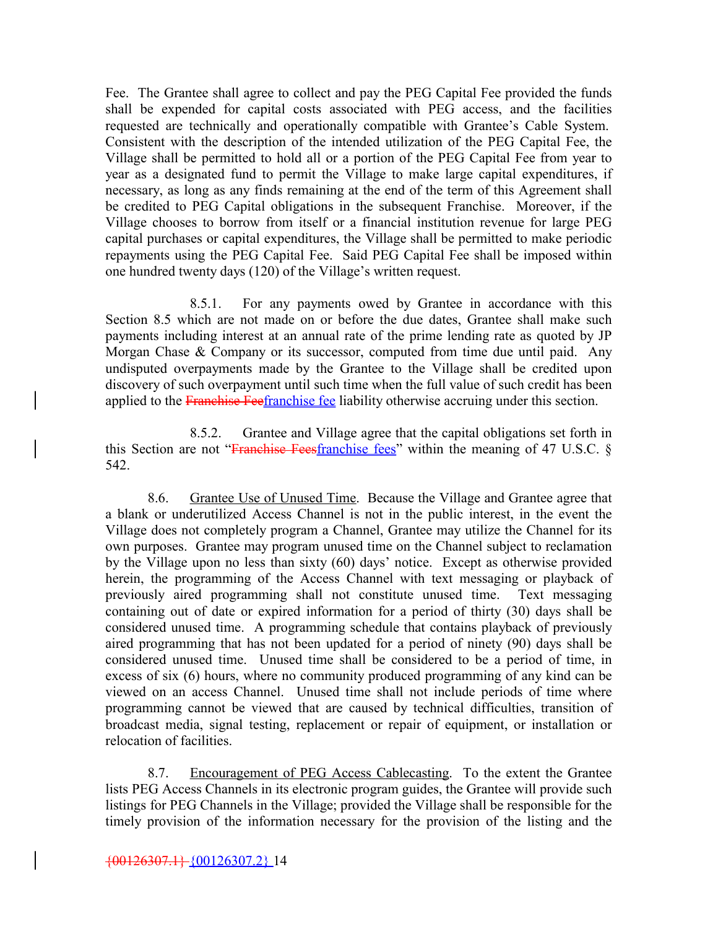Fee. The Grantee shall agree to collect and pay the PEG Capital Fee provided the funds shall be expended for capital costs associated with PEG access, and the facilities requested are technically and operationally compatible with Grantee's Cable System. Consistent with the description of the intended utilization of the PEG Capital Fee, the Village shall be permitted to hold all or a portion of the PEG Capital Fee from year to year as a designated fund to permit the Village to make large capital expenditures, if necessary, as long as any finds remaining at the end of the term of this Agreement shall be credited to PEG Capital obligations in the subsequent Franchise. Moreover, if the Village chooses to borrow from itself or a financial institution revenue for large PEG capital purchases or capital expenditures, the Village shall be permitted to make periodic repayments using the PEG Capital Fee. Said PEG Capital Fee shall be imposed within one hundred twenty days (120) of the Village's written request.

8.5.1. For any payments owed by Grantee in accordance with this Section 8.5 which are not made on or before the due dates, Grantee shall make such payments including interest at an annual rate of the prime lending rate as quoted by JP Morgan Chase & Company or its successor, computed from time due until paid. Any undisputed overpayments made by the Grantee to the Village shall be credited upon discovery of such overpayment until such time when the full value of such credit has been applied to the Franchise Feefranchise fee liability otherwise accruing under this section.

8.5.2. Grantee and Village agree that the capital obligations set forth in this Section are not "Franchise Feesfranchise fees" within the meaning of 47 U.S.C.  $\S$ 542.

8.6. Grantee Use of Unused Time. Because the Village and Grantee agree that a blank or underutilized Access Channel is not in the public interest, in the event the Village does not completely program a Channel, Grantee may utilize the Channel for its own purposes. Grantee may program unused time on the Channel subject to reclamation by the Village upon no less than sixty (60) days' notice. Except as otherwise provided herein, the programming of the Access Channel with text messaging or playback of previously aired programming shall not constitute unused time. Text messaging containing out of date or expired information for a period of thirty (30) days shall be considered unused time. A programming schedule that contains playback of previously aired programming that has not been updated for a period of ninety (90) days shall be considered unused time. Unused time shall be considered to be a period of time, in excess of six (6) hours, where no community produced programming of any kind can be viewed on an access Channel. Unused time shall not include periods of time where programming cannot be viewed that are caused by technical difficulties, transition of broadcast media, signal testing, replacement or repair of equipment, or installation or relocation of facilities.

8.7. Encouragement of PEG Access Cablecasting. To the extent the Grantee lists PEG Access Channels in its electronic program guides, the Grantee will provide such listings for PEG Channels in the Village; provided the Village shall be responsible for the timely provision of the information necessary for the provision of the listing and the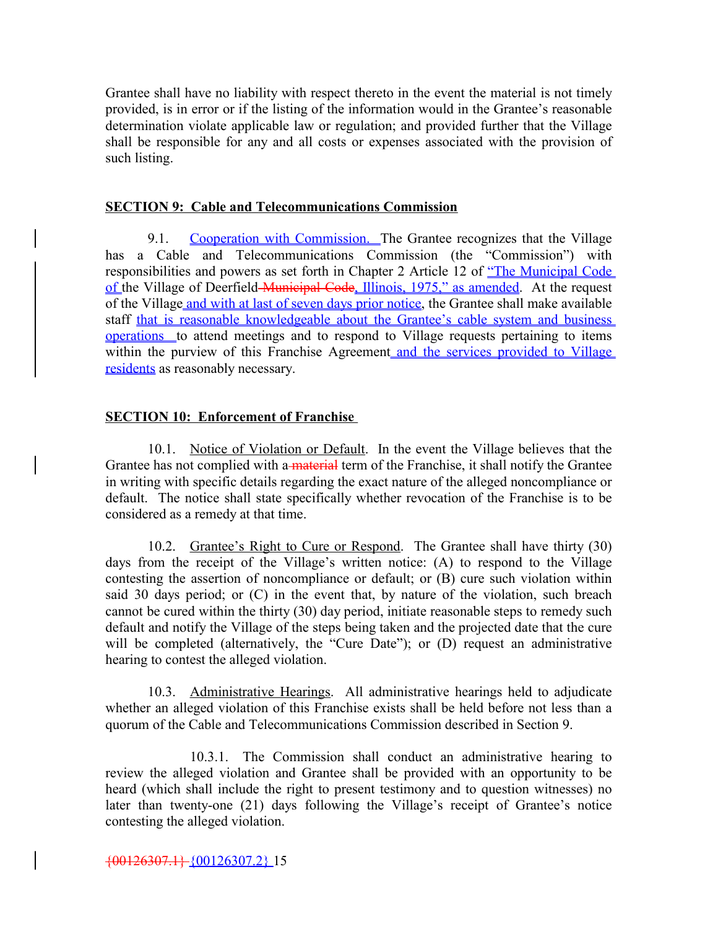Grantee shall have no liability with respect thereto in the event the material is not timely provided, is in error or if the listing of the information would in the Grantee's reasonable determination violate applicable law or regulation; and provided further that the Village shall be responsible for any and all costs or expenses associated with the provision of such listing.

#### **SECTION 9: Cable and Telecommunications Commission**

9.1. Cooperation with Commission. The Grantee recognizes that the Village has a Cable and Telecommunications Commission (the "Commission") with responsibilities and powers as set forth in Chapter 2 Article 12 of "The Municipal Code of the Village of Deerfield Municipal Code, Illinois, 1975," as amended. At the request of the Village and with at last of seven days prior notice, the Grantee shall make available staff that is reasonable knowledgeable about the Grantee's cable system and business operations to attend meetings and to respond to Village requests pertaining to items within the purview of this Franchise Agreement and the services provided to Village residents as reasonably necessary.

#### **SECTION 10: Enforcement of Franchise**

10.1. Notice of Violation or Default. In the event the Village believes that the Grantee has not complied with a material term of the Franchise, it shall notify the Grantee in writing with specific details regarding the exact nature of the alleged noncompliance or default. The notice shall state specifically whether revocation of the Franchise is to be considered as a remedy at that time.

10.2. Grantee's Right to Cure or Respond. The Grantee shall have thirty (30) days from the receipt of the Village's written notice: (A) to respond to the Village contesting the assertion of noncompliance or default; or (B) cure such violation within said 30 days period; or (C) in the event that, by nature of the violation, such breach cannot be cured within the thirty (30) day period, initiate reasonable steps to remedy such default and notify the Village of the steps being taken and the projected date that the cure will be completed (alternatively, the "Cure Date"); or (D) request an administrative hearing to contest the alleged violation.

10.3. Administrative Hearings. All administrative hearings held to adjudicate whether an alleged violation of this Franchise exists shall be held before not less than a quorum of the Cable and Telecommunications Commission described in Section 9.

10.3.1. The Commission shall conduct an administrative hearing to review the alleged violation and Grantee shall be provided with an opportunity to be heard (which shall include the right to present testimony and to question witnesses) no later than twenty-one (21) days following the Village's receipt of Grantee's notice contesting the alleged violation.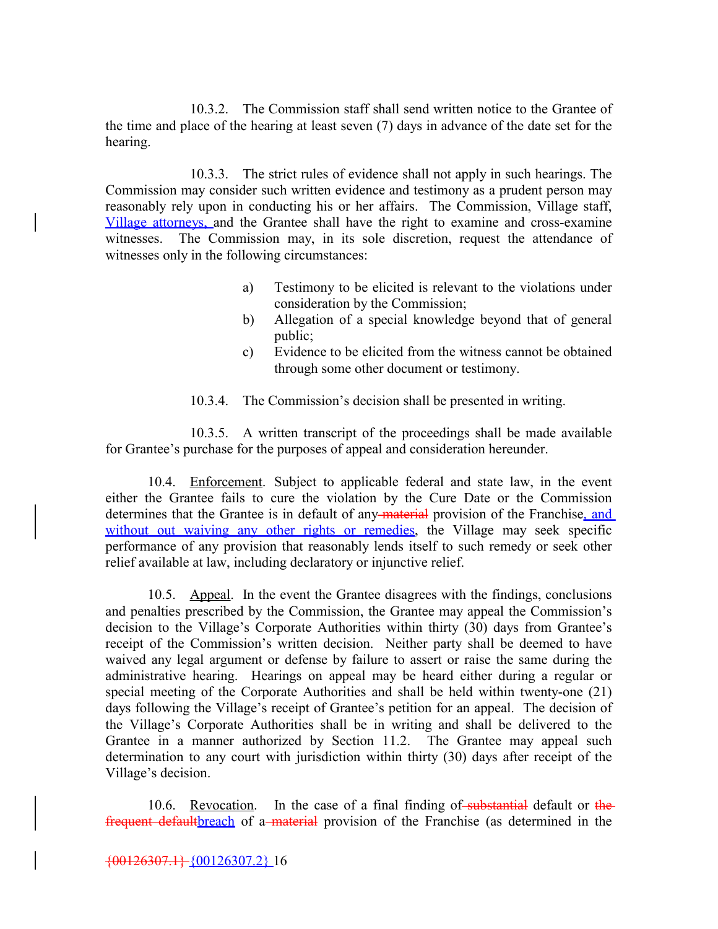10.3.2. The Commission staff shall send written notice to the Grantee of the time and place of the hearing at least seven (7) days in advance of the date set for the hearing.

10.3.3. The strict rules of evidence shall not apply in such hearings. The Commission may consider such written evidence and testimony as a prudent person may reasonably rely upon in conducting his or her affairs. The Commission, Village staff, Village attorneys, and the Grantee shall have the right to examine and cross-examine witnesses. The Commission may, in its sole discretion, request the attendance of witnesses only in the following circumstances:

- a) Testimony to be elicited is relevant to the violations under consideration by the Commission;
- b) Allegation of a special knowledge beyond that of general public;
- c) Evidence to be elicited from the witness cannot be obtained through some other document or testimony.

10.3.4. The Commission's decision shall be presented in writing.

10.3.5. A written transcript of the proceedings shall be made available for Grantee's purchase for the purposes of appeal and consideration hereunder.

10.4. Enforcement. Subject to applicable federal and state law, in the event either the Grantee fails to cure the violation by the Cure Date or the Commission determines that the Grantee is in default of any material provision of the Franchise, and without out waiving any other rights or remedies, the Village may seek specific performance of any provision that reasonably lends itself to such remedy or seek other relief available at law, including declaratory or injunctive relief.

10.5. Appeal. In the event the Grantee disagrees with the findings, conclusions and penalties prescribed by the Commission, the Grantee may appeal the Commission's decision to the Village's Corporate Authorities within thirty (30) days from Grantee's receipt of the Commission's written decision. Neither party shall be deemed to have waived any legal argument or defense by failure to assert or raise the same during the administrative hearing. Hearings on appeal may be heard either during a regular or special meeting of the Corporate Authorities and shall be held within twenty-one (21) days following the Village's receipt of Grantee's petition for an appeal. The decision of the Village's Corporate Authorities shall be in writing and shall be delivered to the Grantee in a manner authorized by Section 11.2. The Grantee may appeal such determination to any court with jurisdiction within thirty (30) days after receipt of the Village's decision.

10.6. Revocation. In the case of a final finding of substantial default or the frequent default <u>breach</u> of a material provision of the Franchise (as determined in the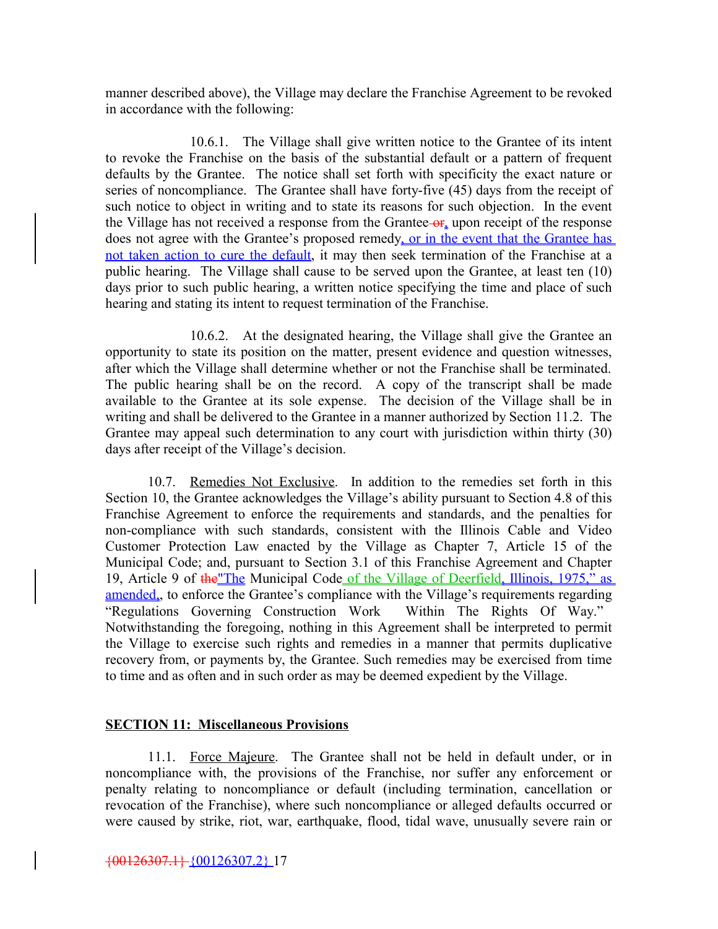manner described above), the Village may declare the Franchise Agreement to be revoked in accordance with the following:

10.6.1. The Village shall give written notice to the Grantee of its intent to revoke the Franchise on the basis of the substantial default or a pattern of frequent defaults by the Grantee. The notice shall set forth with specificity the exact nature or series of noncompliance. The Grantee shall have forty-five (45) days from the receipt of such notice to object in writing and to state its reasons for such objection. In the event the Village has not received a response from the Grantee- $\theta$ <sub>r</sub> upon receipt of the response does not agree with the Grantee's proposed remedy, or in the event that the Grantee has not taken action to cure the default, it may then seek termination of the Franchise at a public hearing. The Village shall cause to be served upon the Grantee, at least ten (10) days prior to such public hearing, a written notice specifying the time and place of such hearing and stating its intent to request termination of the Franchise.

10.6.2. At the designated hearing, the Village shall give the Grantee an opportunity to state its position on the matter, present evidence and question witnesses, after which the Village shall determine whether or not the Franchise shall be terminated. The public hearing shall be on the record. A copy of the transcript shall be made available to the Grantee at its sole expense. The decision of the Village shall be in writing and shall be delivered to the Grantee in a manner authorized by Section 11.2. The Grantee may appeal such determination to any court with jurisdiction within thirty (30) days after receipt of the Village's decision.

10.7. Remedies Not Exclusive. In addition to the remedies set forth in this Section 10, the Grantee acknowledges the Village's ability pursuant to Section 4.8 of this Franchise Agreement to enforce the requirements and standards, and the penalties for non-compliance with such standards, consistent with the Illinois Cable and Video Customer Protection Law enacted by the Village as Chapter 7, Article 15 of the Municipal Code; and, pursuant to Section 3.1 of this Franchise Agreement and Chapter 19, Article 9 of the "The Municipal Code of the Village of Deerfield, Illinois, 1975," as amended,, to enforce the Grantee's compliance with the Village's requirements regarding "Regulations Governing Construction Work Within The Rights Of Way." Notwithstanding the foregoing, nothing in this Agreement shall be interpreted to permit the Village to exercise such rights and remedies in a manner that permits duplicative recovery from, or payments by, the Grantee. Such remedies may be exercised from time to time and as often and in such order as may be deemed expedient by the Village.

#### **SECTION 11: Miscellaneous Provisions**

11.1. Force Majeure. The Grantee shall not be held in default under, or in noncompliance with, the provisions of the Franchise, nor suffer any enforcement or penalty relating to noncompliance or default (including termination, cancellation or revocation of the Franchise), where such noncompliance or alleged defaults occurred or were caused by strike, riot, war, earthquake, flood, tidal wave, unusually severe rain or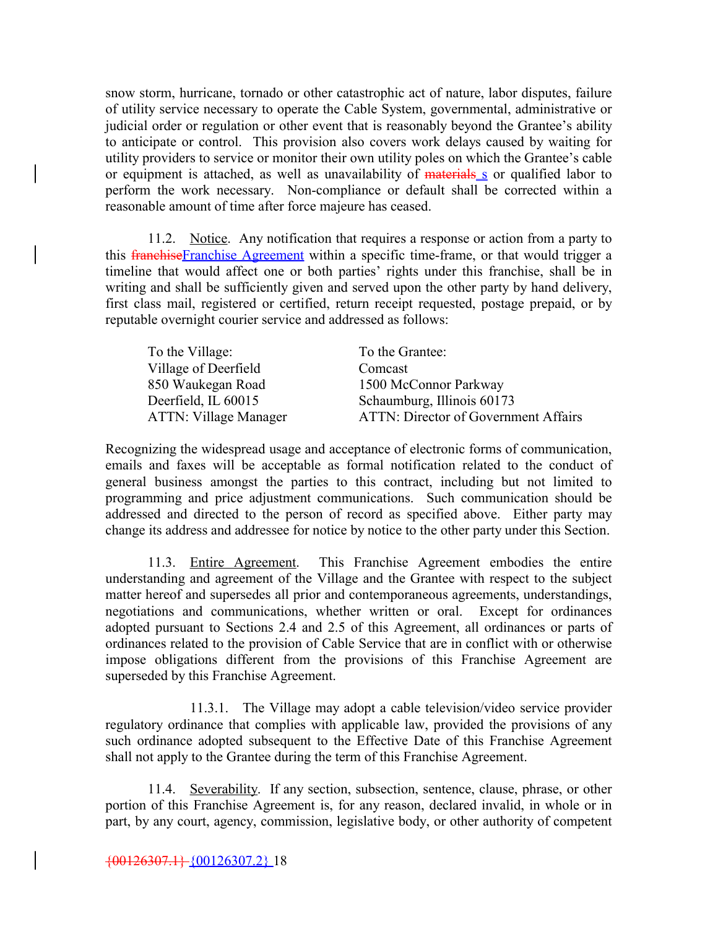snow storm, hurricane, tornado or other catastrophic act of nature, labor disputes, failure of utility service necessary to operate the Cable System, governmental, administrative or judicial order or regulation or other event that is reasonably beyond the Grantee's ability to anticipate or control. This provision also covers work delays caused by waiting for utility providers to service or monitor their own utility poles on which the Grantee's cable or equipment is attached, as well as unavailability of materials s or qualified labor to perform the work necessary. Non-compliance or default shall be corrected within a reasonable amount of time after force majeure has ceased.

11.2. Notice. Any notification that requires a response or action from a party to this **franchise** Franchise Agreement within a specific time-frame, or that would trigger a timeline that would affect one or both parties' rights under this franchise, shall be in writing and shall be sufficiently given and served upon the other party by hand delivery, first class mail, registered or certified, return receipt requested, postage prepaid, or by reputable overnight courier service and addressed as follows:

| To the Village:              | To the Grantee:                             |
|------------------------------|---------------------------------------------|
| Village of Deerfield         | Comcast                                     |
| 850 Waukegan Road            | 1500 McConnor Parkway                       |
| Deerfield, IL 60015          | Schaumburg, Illinois 60173                  |
| <b>ATTN: Village Manager</b> | <b>ATTN: Director of Government Affairs</b> |

Recognizing the widespread usage and acceptance of electronic forms of communication, emails and faxes will be acceptable as formal notification related to the conduct of general business amongst the parties to this contract, including but not limited to programming and price adjustment communications. Such communication should be addressed and directed to the person of record as specified above. Either party may change its address and addressee for notice by notice to the other party under this Section.

11.3. Entire Agreement. This Franchise Agreement embodies the entire understanding and agreement of the Village and the Grantee with respect to the subject matter hereof and supersedes all prior and contemporaneous agreements, understandings, negotiations and communications, whether written or oral. Except for ordinances adopted pursuant to Sections 2.4 and 2.5 of this Agreement, all ordinances or parts of ordinances related to the provision of Cable Service that are in conflict with or otherwise impose obligations different from the provisions of this Franchise Agreement are superseded by this Franchise Agreement.

11.3.1. The Village may adopt a cable television/video service provider regulatory ordinance that complies with applicable law, provided the provisions of any such ordinance adopted subsequent to the Effective Date of this Franchise Agreement shall not apply to the Grantee during the term of this Franchise Agreement.

11.4. Severability. If any section, subsection, sentence, clause, phrase, or other portion of this Franchise Agreement is, for any reason, declared invalid, in whole or in part, by any court, agency, commission, legislative body, or other authority of competent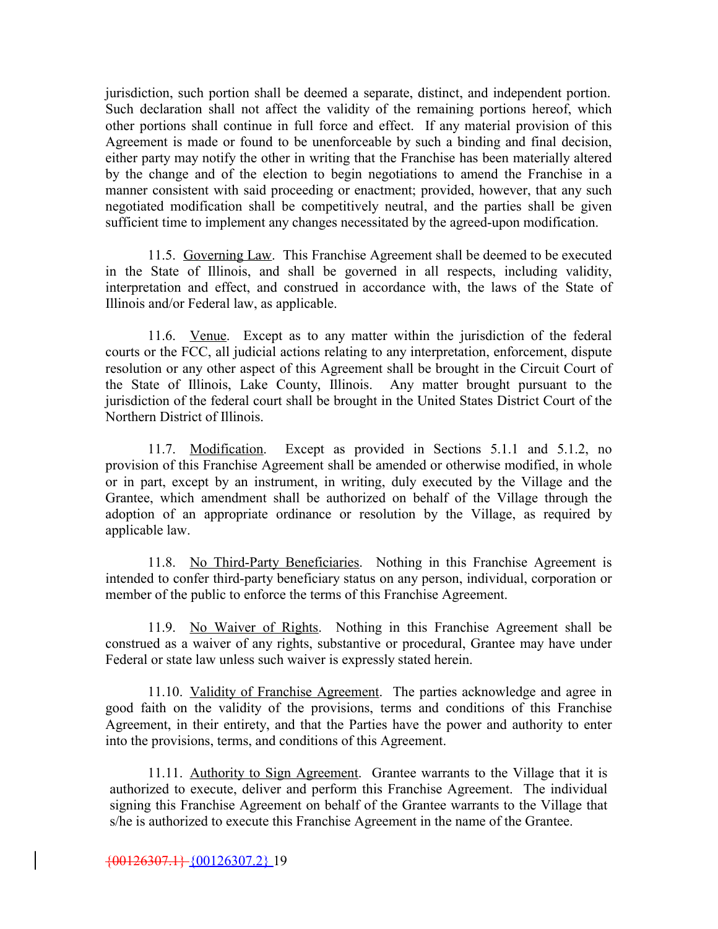jurisdiction, such portion shall be deemed a separate, distinct, and independent portion. Such declaration shall not affect the validity of the remaining portions hereof, which other portions shall continue in full force and effect. If any material provision of this Agreement is made or found to be unenforceable by such a binding and final decision, either party may notify the other in writing that the Franchise has been materially altered by the change and of the election to begin negotiations to amend the Franchise in a manner consistent with said proceeding or enactment; provided, however, that any such negotiated modification shall be competitively neutral, and the parties shall be given sufficient time to implement any changes necessitated by the agreed-upon modification.

11.5. Governing Law. This Franchise Agreement shall be deemed to be executed in the State of Illinois, and shall be governed in all respects, including validity, interpretation and effect, and construed in accordance with, the laws of the State of Illinois and/or Federal law, as applicable.

11.6. Venue. Except as to any matter within the jurisdiction of the federal courts or the FCC, all judicial actions relating to any interpretation, enforcement, dispute resolution or any other aspect of this Agreement shall be brought in the Circuit Court of the State of Illinois, Lake County, Illinois. Any matter brought pursuant to the jurisdiction of the federal court shall be brought in the United States District Court of the Northern District of Illinois.

11.7. Modification. Except as provided in Sections 5.1.1 and 5.1.2, no provision of this Franchise Agreement shall be amended or otherwise modified, in whole or in part, except by an instrument, in writing, duly executed by the Village and the Grantee, which amendment shall be authorized on behalf of the Village through the adoption of an appropriate ordinance or resolution by the Village, as required by applicable law.

11.8. No Third-Party Beneficiaries. Nothing in this Franchise Agreement is intended to confer third-party beneficiary status on any person, individual, corporation or member of the public to enforce the terms of this Franchise Agreement.

11.9. No Waiver of Rights. Nothing in this Franchise Agreement shall be construed as a waiver of any rights, substantive or procedural, Grantee may have under Federal or state law unless such waiver is expressly stated herein.

11.10. Validity of Franchise Agreement. The parties acknowledge and agree in good faith on the validity of the provisions, terms and conditions of this Franchise Agreement, in their entirety, and that the Parties have the power and authority to enter into the provisions, terms, and conditions of this Agreement.

11.11. Authority to Sign Agreement. Grantee warrants to the Village that it is authorized to execute, deliver and perform this Franchise Agreement. The individual signing this Franchise Agreement on behalf of the Grantee warrants to the Village that s/he is authorized to execute this Franchise Agreement in the name of the Grantee.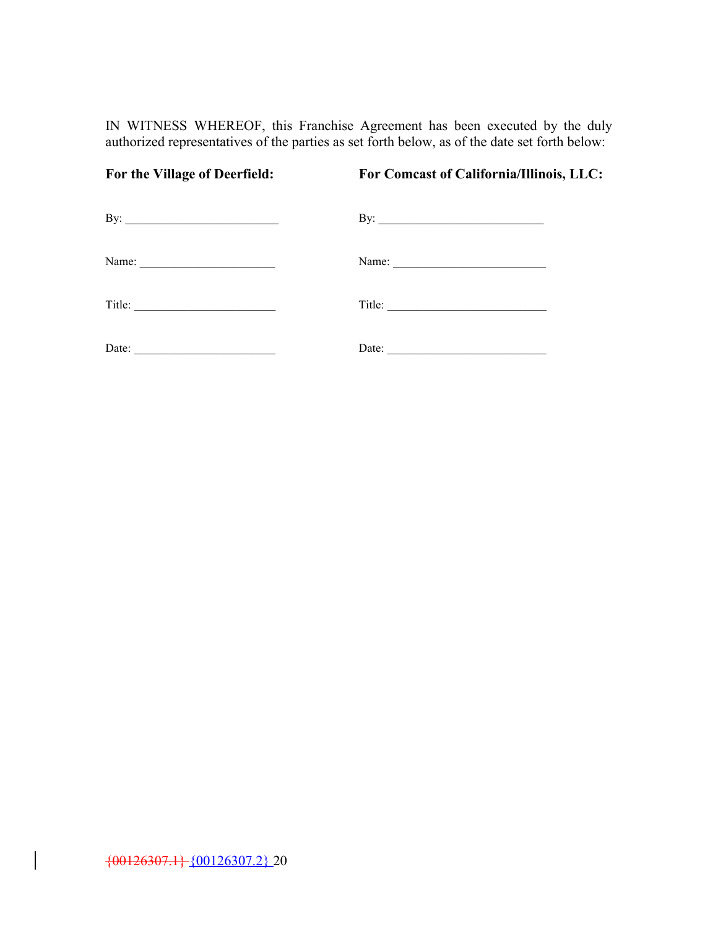IN WITNESS WHEREOF, this Franchise Agreement has been executed by the duly authorized representatives of the parties as set forth below, as of the date set forth below:

| For the Village of Deerfield: | For Comcast of California/Illinois, LLC: |
|-------------------------------|------------------------------------------|
| By: $\qquad \qquad$           | By: $\qquad \qquad$                      |
|                               |                                          |
|                               |                                          |
|                               |                                          |

 $\bigg\}$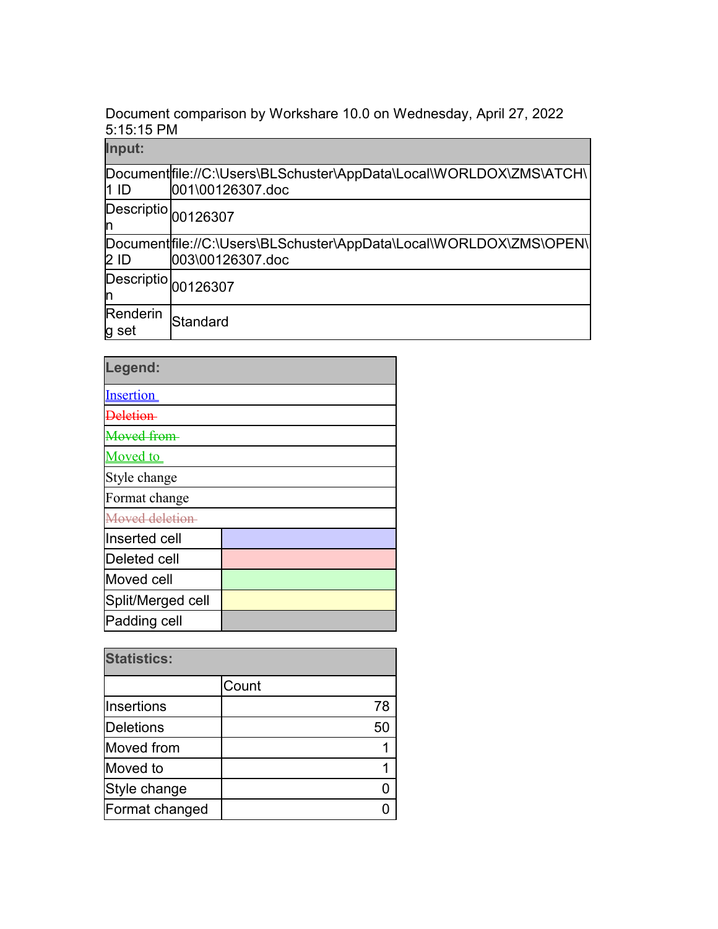Document comparison by Workshare 10.0 on Wednesday, April 27, 2022 5:15:15 PM

| Input:                  |                                                                                         |
|-------------------------|-----------------------------------------------------------------------------------------|
| 11 ID                   | Document file://C:\Users\BLSchuster\AppData\Local\WORLDOX\ZMS\ATCH\<br>001\00126307.doc |
| m                       | Descriptio 00126307                                                                     |
| $2$ ID                  | Document file://C:\Users\BLSchuster\AppData\Local\WORLDOX\ZMS\OPEN\<br>003\00126307.doc |
| <b>Descriptio</b><br>In | 00126307                                                                                |
| Renderin<br>g set       | Standard                                                                                |

| Legend:           |  |  |
|-------------------|--|--|
| <b>Insertion</b>  |  |  |
| Deletion          |  |  |
| Moved from        |  |  |
| <b>Moved</b> to   |  |  |
| Style change      |  |  |
| Format change     |  |  |
| Moved deletion    |  |  |
| Inserted cell     |  |  |
| Deleted cell      |  |  |
| Moved cell        |  |  |
| Split/Merged cell |  |  |
| Padding cell      |  |  |

| <b>Statistics:</b> |       |  |
|--------------------|-------|--|
|                    | Count |  |
| Insertions         | 78    |  |
| <b>Deletions</b>   | 50    |  |
| Moved from         |       |  |
| Moved to           |       |  |
| Style change       |       |  |
| Format changed     |       |  |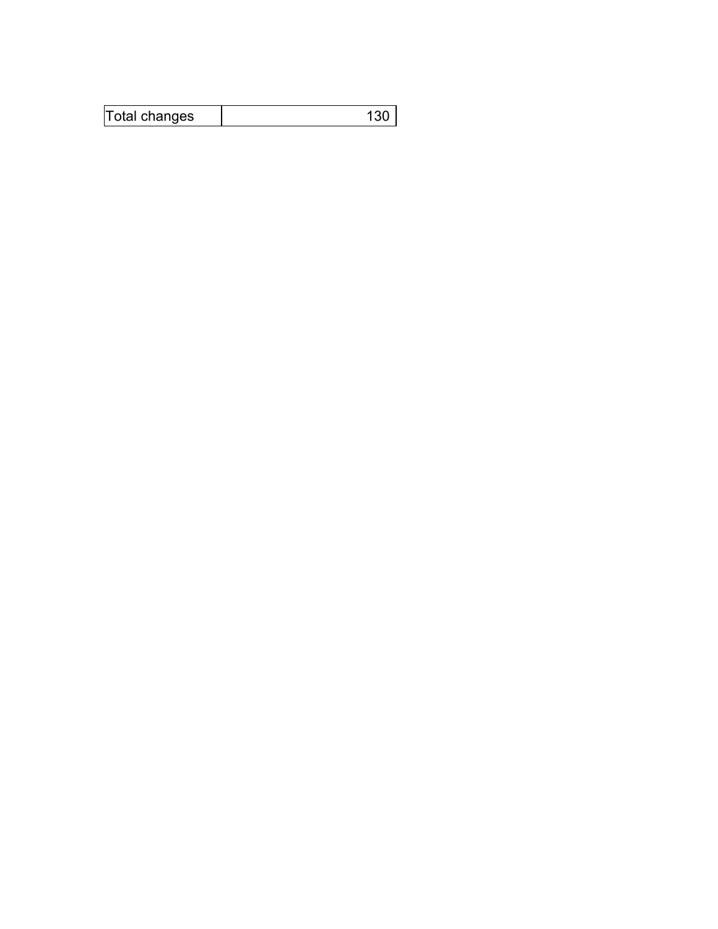| Total changes |  |
|---------------|--|
|---------------|--|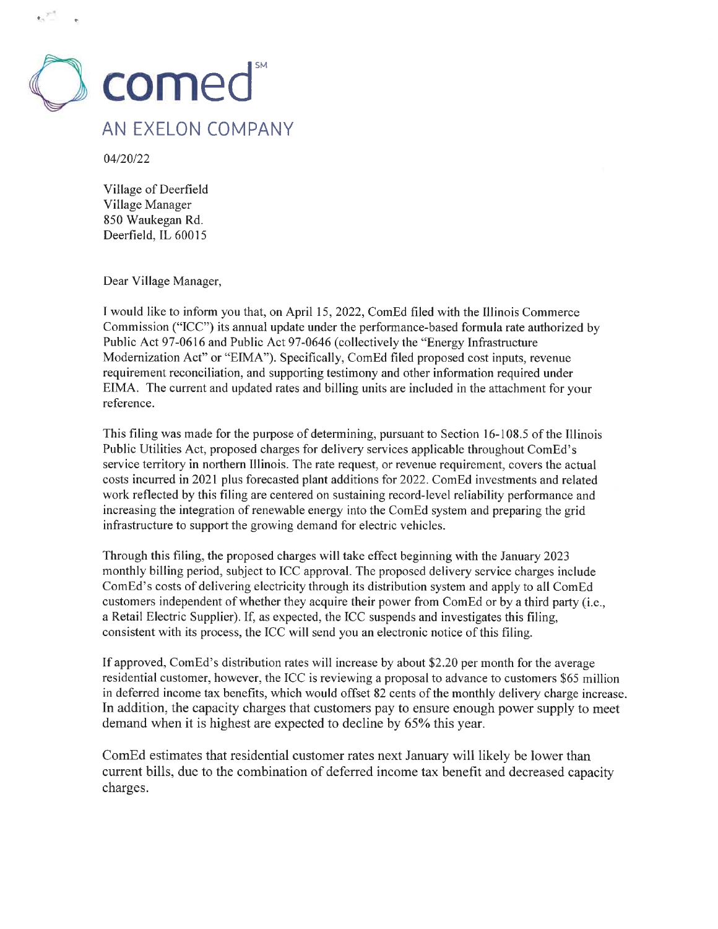

04/20/22

Village of Deerfield Village Manager 850 Waukegan Rd. Deerfield, IL 60015

Dear Village Manager,

I would like to inform you that, on April 15, 2022, ComEd filed with the Illinois Commerce Commission ("ICC") its annual update under the performance-based formula rate authorized by Public Act 97-0616 and Public Act 97-0646 (collectively the "Energy Infrastructure Modernization Act" or "EIMA"). Specifically, ComEd filed proposed cost inputs, revenue requirement reconciliation, and supporting testimony and other information required under EIMA. The current and updated rates and billing units are included in the attachment for your reference.

This filing was made for the purpose of determining, pursuant to Section 16-108.5 of the Illinois Public Utilities Act, proposed charges for delivery services applicable throughout ComEd's service territory in northern Illinois. The rate request, or revenue requirement, covers the actual costs incurred in 2021 plus forecasted plant additions for 2022. ComEd investments and related work reflected by this filing are centered on sustaining record-level reliability performance and increasing the integration of renewable energy into the ComEd system and preparing the grid infrastructure to support the growing demand for electric vehicles.

Through this filing, the proposed charges will take effect beginning with the January 2023 monthly billing period, subject to ICC approval. The proposed delivery service charges include ComEd's costs of delivering electricity through its distribution system and apply to all ComEd customers independent of whether they acquire their power from ComEd or by a third party (i.e., a Retail Electric Supplier). If, as expected, the ICC suspends and investigates this filing, consistent with its process, the ICC will send you an electronic notice of this filing.

If approved, ComEd's distribution rates will increase by about \$2.20 per month for the average residential customer, however, the ICC is reviewing a proposal to advance to customers \$65 million in deferred income tax benefits, which would offset 82 cents of the monthly delivery charge increase. In addition, the capacity charges that customers pay to ensure enough power supply to meet demand when it is highest are expected to decline by 65% this year.

ComEd estimates that residential customer rates next January will likely be lower than current bills, due to the combination of deferred income tax benefit and decreased capacity charges.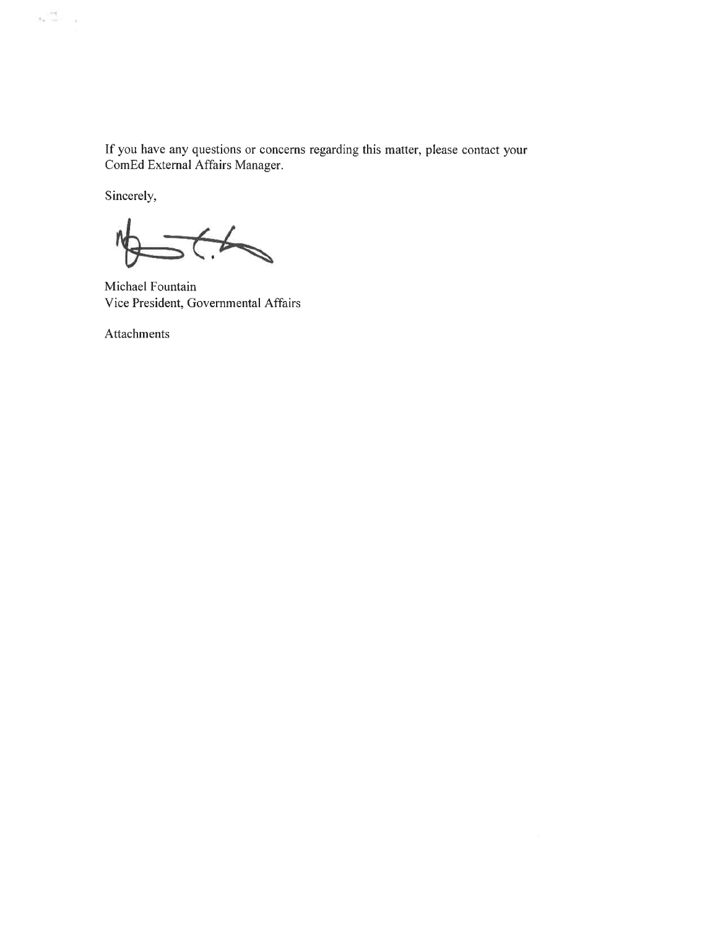If you have any questions or concerns regarding this matter, please contact your ComEd External Affairs Manager.

Sincerely,

 $\frac{1}{2\pi}\frac{d\phi}{d\phi} = \frac{1}{2\pi}$ 

 $4\overline{)}$  $\frac{1}{2}$ 

Michael Fountain Vice President, Governmental Affairs

Attachments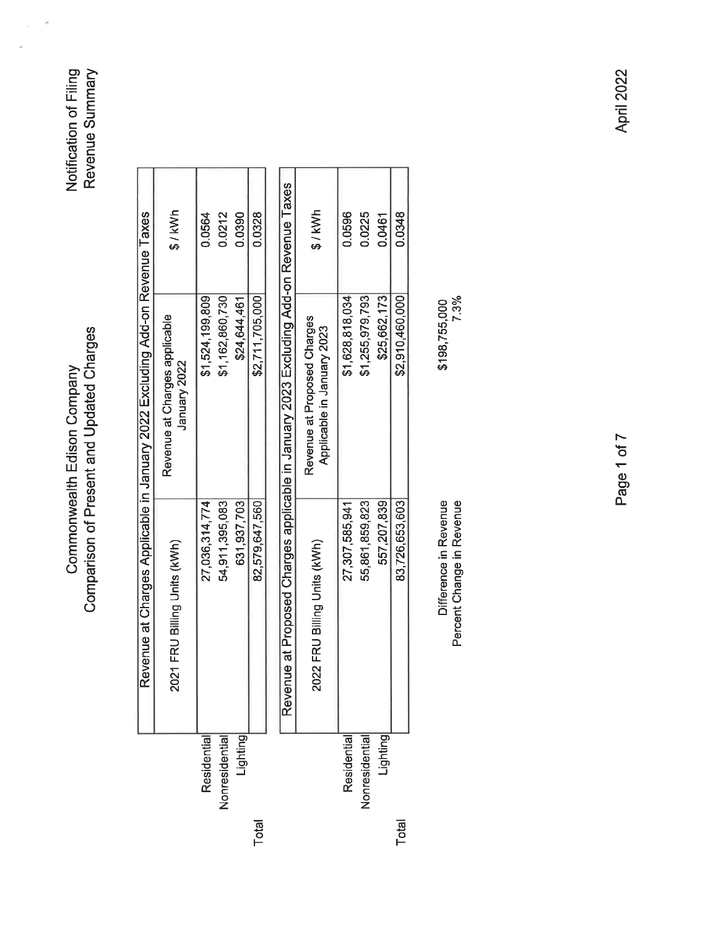Commonwealth Edison Company<br>Comparison of Present and Updated Charges

Notification of Filing<br>Revenue Summary

|                                                                              | \$/kWh                                        | 0.0564          | 0.0212               | 0.0390       | 0.0328          |
|------------------------------------------------------------------------------|-----------------------------------------------|-----------------|----------------------|--------------|-----------------|
| Revenue at Charges Applicable in January 2022 Excluding Add-on Revenue Taxes | Revenue at Charges applicable<br>January 2022 | \$1,524,199,809 | \$1,162,860,730      | \$24,644,461 | \$2,711,705,000 |
|                                                                              | 2021 FRU Billing Units (kWh)                  | 27,036,314,774  | 54,911,395,083       | 631,937,703  | 82,579,647,560  |
|                                                                              |                                               | Residentia      | <b>Jonresidentia</b> | ighting      |                 |

|               | Reve                         | exert Proposed Charges applicable in January 2023 Excluding Add-on Revenue Taxes |          |
|---------------|------------------------------|----------------------------------------------------------------------------------|----------|
|               | 2022 FRU Billing Units (kWh) | Revenue at Proposed Charges<br>Applicable in January 2023                        | $$/$ kWh |
| Residential   | 27,307,585,941               | \$1,628,818,034                                                                  | 0.0596   |
| lonresidentia | 55,861,859,823               | \$1,255,979,793                                                                  | 1.0225   |
| lighting      | 557,207,839                  | \$25,662,173                                                                     | 0.0461   |
|               | 83,726,653,603               | \$2,910,460,000                                                                  | 0.0348   |

Total

Difference in Revenue<br>Percent Change in Revenue

\$198,755,000<br>7.3%

**April 2022** 

Page 1 of 7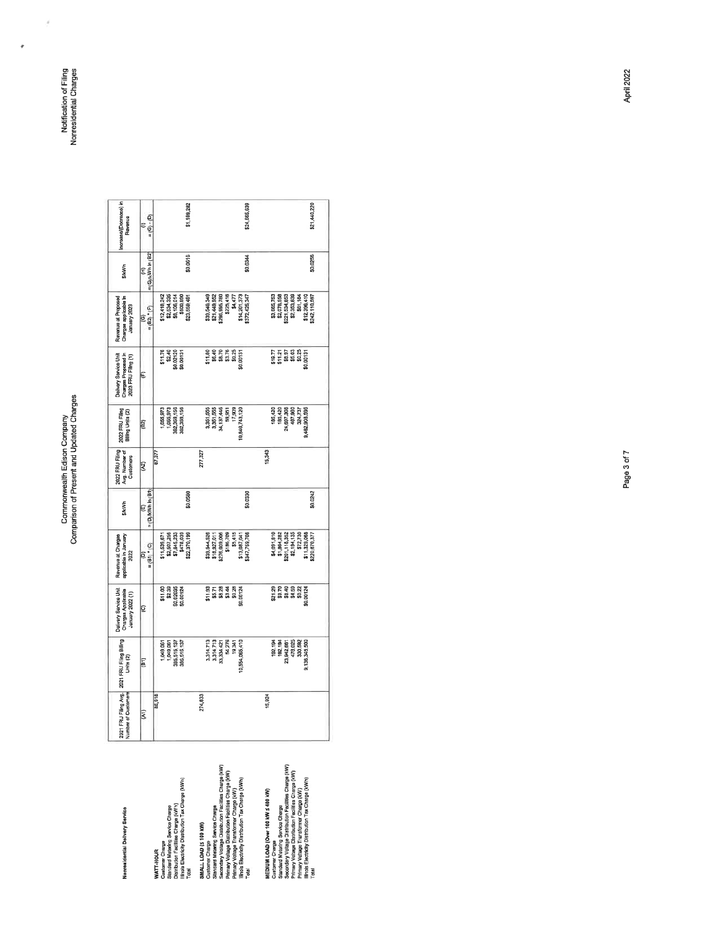Commonwealth Edison Company<br>Comparison of Present and Updated Charges

Nonrealdential Delivery Service

\$1,189,282 \$24,665,639 \$21,440,220 Increase/(Decrease)<br>Revenue  $=$  (6) - (b)  $= (G) \hat{r}$  (H)<br>=  $( G ) \hat{r}$  (Wh in  $( B2 )$ \$0,0616 50,0256 \$0.0344 **SAKWh**  $\begin{array}{l} 839,548,349\\ 821,449,562\\ 5296,395,780\\ 8225,416\\ 8225,416\\ 814,201,373\\ 814,201,373\\ 81372,425,347 \end{array}$  $\begin{array}{l} 83.665,753 \\ 82.076,558 \\ 8221,534,653 \\ 821,534,653 \\ 831,184 \\ 851,184 \\ 851,184 \\ 812,396,410 \\ 812,396,410 \\ 812,396,410 \\ 8342,110,567 \end{array}$ Revenue at Proposed<br>Charges applicable br<br>January 2023 \$12,418,242<br>\$2,534,335<br>\$8,106,014<br>\$500,890<br>\$23,559,481  $=(B2)^*(F)$ 318.77<br>31.71<br>31.81<br>31.81<br>31.00131<br>32.00131 Delivery Service Unit<br>Charges Proposed In<br>2023 FRU Filling (1)  $\begin{array}{r} $11.76 \ $2.40 \ $2.02120 \ $6.02120 \ $6.00131 \ } \end{array}$  $\begin{array}{r} 11.80 \\ 13.70 \\ 15.70 \\ 15.70 \\ 15.75 \\ 15.75 \\ 15.75 \\ 15.75 \\ 15.75 \\ 15.75 \\ 15.75 \\ 16.75 \\ 17.75 \\ 18.75 \\ 19.75 \\ 19.75 \\ 10.75 \\ 11.75 \\ 13.75 \\ 14.75 \\ 15.75 \\ 16.75 \\ 17.75 \\ 18.75 \\ 19.75 \\ 19.75 \\ 10.75 \\ 13.75 \\ 14.75 \\ 15.75 \\ 16$  $\overline{\mathbb{E}}$  $\begin{bmatrix} 185,420 \\ 185,420 \\ 24,697,308 \\ 467,308 \\ 324,737 \\ 324,737 \\ 324,737 \\ 324,737 \\ 9,462,808,595 \end{bmatrix}$ 2022 FRU Filing  $\begin{bmatrix} 1,055,973 \\ 1,055,973 \\ 362,353,156 \\ 362,353,156 \end{bmatrix}$  $\begin{array}{r} 3,351,555 \\ 3,351,555 \\ 3,351,555 \\ 3,4,137,446 \\ 59,351 \\ 17,303 \\ 10,940,743,120 \end{array}$  $\boxed{62}$ 2022 FRU Filing<br>Avg. Number of<br>Customers **Z77,327**  $15,343$  $\frac{1}{277}$  $\mathbf{R}$  $\begin{tabular}{|c|c|} \hline & (E) & \\ \hline \multicolumn{3}{|c|}{\multicolumn{3}{|c|}{\multicolumn{3}{|c|}{\multicolumn{3}{|c|}{\multicolumn{3}{|c|}{\multicolumn{3}{|c|}{\multicolumn{3}{|c|}{\multicolumn{3}{|c|}{\multicolumn{3}{|c|}{\multicolumn{3}{|c|}{\multicolumn{3}{|c|}{\multicolumn{3}{|c|}{\multicolumn{3}{|c|}{\multicolumn{3}{|c|}{\multicolumn{3}{|c|}{\multicolumn{3}{|c|}{\multicolumn{3}{|c|}{\multicolumn{3}{|c$ \$0.0242 \$0.0580 \$0.0330 **SJKWh**  $\begin{bmatrix} 111, 539, 671 \\ 82, 507, 258 \\ 47, 945, 233 \\ 547, 813, 339 \\ 5478, 039 \\ 5478, 039 \end{bmatrix}$ 535, 1987, 1997, 1997, 1997, 1997, 1997, 1998, 1998, 1998, 1998, 1998, 1998, 1998, 1998, 1998, 1998, 1998, 199<br>1998, 1998, 1998, 1998, 1998, 1998, 1998, 1998, 1998, 1998, 1998, 1998, 1998, 1998, 1998, 1998, 1998, 1998, 1<br>1 \$4,091,810<br>\$1,864,282<br>\$2,111,13,352<br>\$2,194,135<br>\$2,1730<br>\$3,080,377<br>\$2,0,870,377 Revenue at Charges<br>applicable in January<br>2022  $=$   $\frac{1}{2}$   $\frac{1}{2}$   $\frac{1}{2}$   $\frac{1}{2}$   $\frac{1}{2}$   $\frac{1}{2}$   $\frac{1}{2}$   $\frac{1}{2}$   $\frac{1}{2}$   $\frac{1}{2}$   $\frac{1}{2}$   $\frac{1}{2}$   $\frac{1}{2}$   $\frac{1}{2}$   $\frac{1}{2}$   $\frac{1}{2}$   $\frac{1}{2}$   $\frac{1}{2}$   $\frac{1}{2}$   $\frac{1}{2}$   $\frac{1}{2}$   $\frac{1}{2$ Daiwary Sarvice Unit<br>Charges Applicable<br>January 2022 (1) **21.29**<br>**82.79**<br>**83.89.82**<br>**83.82.82**<br>**83.82.82**  $\begin{array}{r} 811,00 \\ 82.39 \\ 50.02036 \\ 50.00124 \end{array}$ \$11.99<br>\$6.71<br>\$6.28<br>\$8.88.28<br>\$8.88.28 β  $[192,194] \begin{tabular}{r} \bf 192,194 \\ \bf 192,194 \\ \bf 20,942,867 \\ \bf 478,025 \\ \bf 300,592 \\ \bf 300,592 \\ \bf 9,136,245,500 \\ \end{tabular}$ 2021 FRU Filing Avg. 2021 FRU Filing Billing<br>Number of Customers  $\begin{array}{r} 3, 314, 713 \\ 3, 314, 713 \\ 3, 314, 713 \\ 33, 324, 427 \\ 54, 276 \\ 54, 276 \\ 19, 344 \\ 19, 347 \\ 10, 554, 085, 410 \end{array}$ 1,049,061<br>1,049,061<br>385,515,137<br>385,515,137 E 86,918 274,633 15,924 ŝ MEDIUM LOAD (Over 100 KW 3 400 KW)<br>Statistical Methods of the Charge Charge (KW)<br>Secondary Voltage Distribution Finalis as Charge (KW)<br>Persondary Voltage Distribution Finalis as Charge (KW)<br>Internal Voltage Transformed Cha SMALL LOAD (\$100 MM)<br>Standard Mellering Service Charge Garden (%W)<br>Standard Mellering Service Charge Garden (%W)<br>Petronary Voluage Distribution Fissible Charge (%W)<br>Primary Voluage Transformer Charge (%W)<br>Trade Secondary C WATT-HOUR<br>Standard Mexicing Service Charge<br>Standard Mexicing Service Charge<br>Distributor Facilities Charge (Wh)<br>Total Electricity Distribution Tax Charge (Wh)

Notification of Filing<br>Nonresidential Charges

×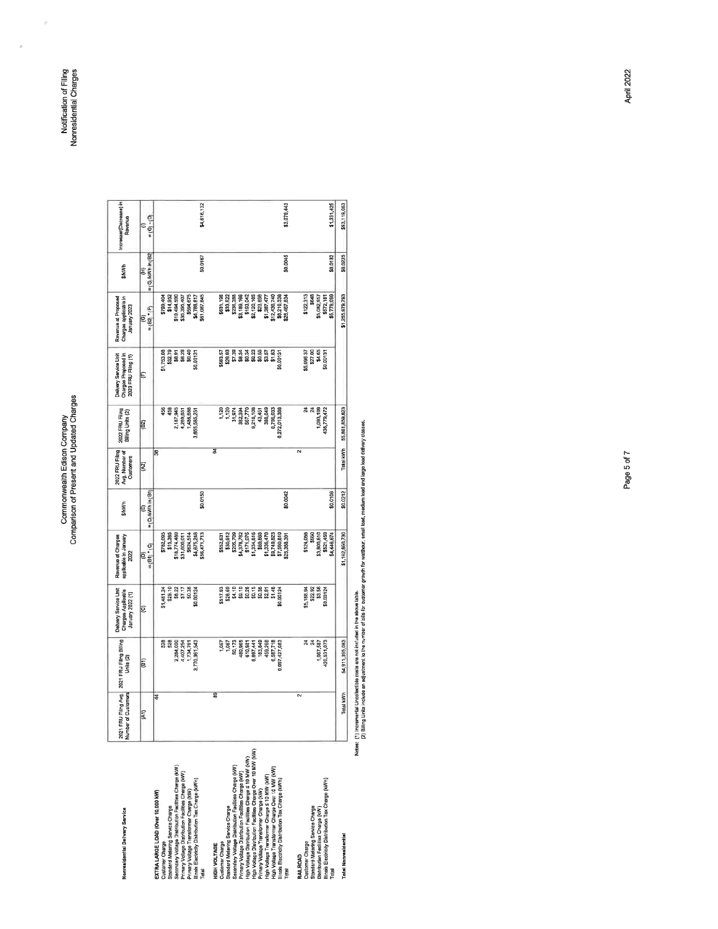# Commonwealth Edison Company<br>Comparison of Present and Updated Charges

Notification of Filing<br>Nonresidential Charges

ý.

| Nonrasidential Delivery Service                             | Filing Avg.<br>Number of Customers<br>2021 FRU | 2021 FRU Filing Billing<br>Units (2) | Delivery Service Unit<br>Charges Applicable | applicable in January<br>Revenue at Charges | SAWIN                   | 2022 FRU Filing<br>Avg. Number of | 2022 FRU Filing<br>Billing Units (2) | Delivery Service Unit<br>Charges Proposed in | Revenue at Proposed<br>Charges applicable in | <b>SAKWIN</b>            | Increase/(Decrease) in<br>Revenue |
|-------------------------------------------------------------|------------------------------------------------|--------------------------------------|---------------------------------------------|---------------------------------------------|-------------------------|-----------------------------------|--------------------------------------|----------------------------------------------|----------------------------------------------|--------------------------|-----------------------------------|
|                                                             |                                                |                                      | January 2022 (1)                            | 2022                                        |                         | Customers                         |                                      | 2023 FRU Filing (1)                          | January 2023                                 |                          |                                   |
|                                                             | (A1)                                           | $\overline{61}$                      | Θ                                           | $= (B1)$ $(CD)$<br>ε                        | $=$ (D)/kWh in (B1<br>画 | ହି                                | $\left( 82\right)$                   | €                                            | B2) * (F)<br>ම<br>ü                          | $=$ (G) kWh in $B2$<br>£ | $(6) \cdot (D)$<br>€              |
| EXTRA LARGE LOAD (Over 10,000 KW)                           | 4                                              |                                      |                                             |                                             |                         | R                                 |                                      |                                              |                                              |                          |                                   |
| Customer Charge                                             |                                                |                                      | \$1,481.24                                  | \$782,095                                   |                         |                                   | 56                                   | \$1,753.08                                   | <b>POP</b> , 667\$                           |                          |                                   |
| Standard Melering Service Charge                            |                                                | 528<br>528                           | \$29.10                                     | \$15,385                                    |                         |                                   | 456                                  | \$32.79                                      | \$14,952                                     |                          |                                   |
| Secondary Voltage Distribution Facilities Charge (kW)       |                                                | 2,284,000                            |                                             | 118,774,480                                 |                         |                                   | 2,187,945                            | \$8.91                                       | \$19,494,590                                 |                          |                                   |
| Primary Voltage Distribution Facilities Charge (kW)         |                                                | 4,407,254                            | \$8.22<br>\$7.17                            | \$31,600,011                                |                         |                                   | 4,269,651                            | \$8.29                                       | \$35,395,407                                 |                          |                                   |
| Primary Voltage Transformer Charge (KW)                     |                                                | 1,734,761                            | \$0.36                                      | \$624,514                                   |                         |                                   | 1,486,688                            | \$0.40                                       | \$594,675                                    |                          |                                   |
| Illinois Electricity Distribution Tax Charge (KWh)          |                                                | 3,770,361,543                        | \$0,00124                                   | \$4,675,248                                 |                         |                                   | 3,655,585,251                        | 60.0013                                      | \$4,788,817                                  |                          |                                   |
|                                                             |                                                |                                      |                                             | 56,471,713                                  | \$0,0150                |                                   |                                      |                                              | 61,087,845                                   | \$0,0167                 | P4,616,132                        |
| HIGH VOLTAGE                                                | 9                                              |                                      |                                             |                                             |                         | डू                                |                                      |                                              |                                              |                          |                                   |
| Customer Charge                                             |                                                | 1,067                                | \$517.93                                    | \$552,631                                   |                         |                                   |                                      | 6563.57                                      | 631,198                                      |                          |                                   |
| Standard Melering Service Charge                            |                                                | 1,067                                | \$28.69                                     |                                             |                         |                                   | 1월<br>1월<br>5                        | \$29.93                                      | \$33,522                                     |                          |                                   |
| Secondary Voltage Distribution Facilities Charge (KW)       |                                                | 50,173                               | \$4.10                                      | \$30,612<br>\$205,709                       |                         |                                   |                                      | \$7.39                                       | \$236,288                                    |                          |                                   |
| Primary Voltage Distribution Facilities Charge (KW)         |                                                | 480,965                              | \$9.10                                      |                                             |                         |                                   | 382,394                              | \$8.34                                       | 13,189,166                                   |                          |                                   |
| High Vollage Distribution Facilities Charge 5 10 MW (KW)    |                                                | 610,981                              | \$0.28                                      | 84,376,782<br>\$171,075                     |                         |                                   | 567,770                              | \$0.34                                       | \$193,042<br>\$2,120,165                     |                          |                                   |
| High Voltage Distribution Facilities Charge Over 10 MW (KW) |                                                | 8,897,441                            | \$0.15                                      | \$1,334,616                                 |                         |                                   | 218,108                              | \$0.23                                       |                                              |                          |                                   |
| Primary Vollage Transformer Charge (KW)                     |                                                | 183,849                              | \$0.38                                      | \$69,863                                    |                         |                                   | 43,451                               | \$0.55                                       | \$23,898                                     |                          |                                   |
| High Voltage Transformer Charge ≤ 10 MW (KW                 |                                                | 459,268                              | 52.91                                       | \$1,336,470                                 |                         |                                   | 388,649                              | 57                                           | \$1,387,477                                  |                          |                                   |
| High Vollage Transformer Charge Over 10 MW (KW)             |                                                | 6,587,718                            | \$1.48                                      | \$9,749,823                                 |                         |                                   | 6,796,033                            | \$1.83                                       | \$12,436,740                                 |                          |                                   |
| Illinois Electricity Distribution Tax Charge (kWh,          |                                                | 6.097,427,083                        | \$0.00124                                   | \$7,560,810                                 |                         |                                   | 6,272,013,388                        | \$0,00131                                    | \$8,216,338                                  |                          |                                   |
|                                                             |                                                |                                      |                                             | 125,388,391                                 | \$0.0042                |                                   |                                      |                                              | 128,467,834                                  | \$0.0045                 | \$3,079,443                       |
| <b>RAILROAD</b>                                             | $\sim$                                         |                                      |                                             |                                             |                         | $\sim$                            |                                      |                                              |                                              |                          |                                   |
| Customer Charge                                             |                                                |                                      | \$5,168.94                                  | \$124,055                                   |                         |                                   |                                      | \$5,098.37                                   | \$122,313                                    |                          |                                   |
| Standard Metering Service Charge                            |                                                | 24                                   | \$22.92                                     | \$550                                       |                         |                                   | నే నే                                | \$27,00                                      | \$646                                        |                          |                                   |
| Distribution Facilities Charge (KW)                         |                                                | 1,067,587                            | \$3.56                                      | \$3,800,810                                 |                         |                                   | 1,093,109                            | \$4.65                                       | \$5,082,957                                  |                          |                                   |
| Binois Electricity Distribution Tax Charge (kWh)            |                                                | 420,531,073                          | \$0,00124                                   | \$521,459<br>\$4,446,674                    | \$0,0106                |                                   | 436,779,472                          | \$0,0013                                     | \$572,181<br>65,778,099                      | \$0.0132                 | \$1,331,425                       |
|                                                             |                                                |                                      |                                             |                                             |                         |                                   |                                      |                                              |                                              |                          |                                   |
| <b>Total Nonresidential</b>                                 | Total kWh                                      | 54,911,395,083                       |                                             | \$1,162,860,730                             | \$0.0212                |                                   | Tolal kWh 55 861 859 823             |                                              | \$1,255,979,793                              | \$0.0225                 | \$93,119,063                      |

**Total Nonrasidential** 

Ndas: (1) intremental Uncollectible cests are not included in the above table.<br>(2) Billing Units include an adjustment to the number for its file for cestomer growth for weithour, small tead, medium load and fact of the y

Page 5 of 7